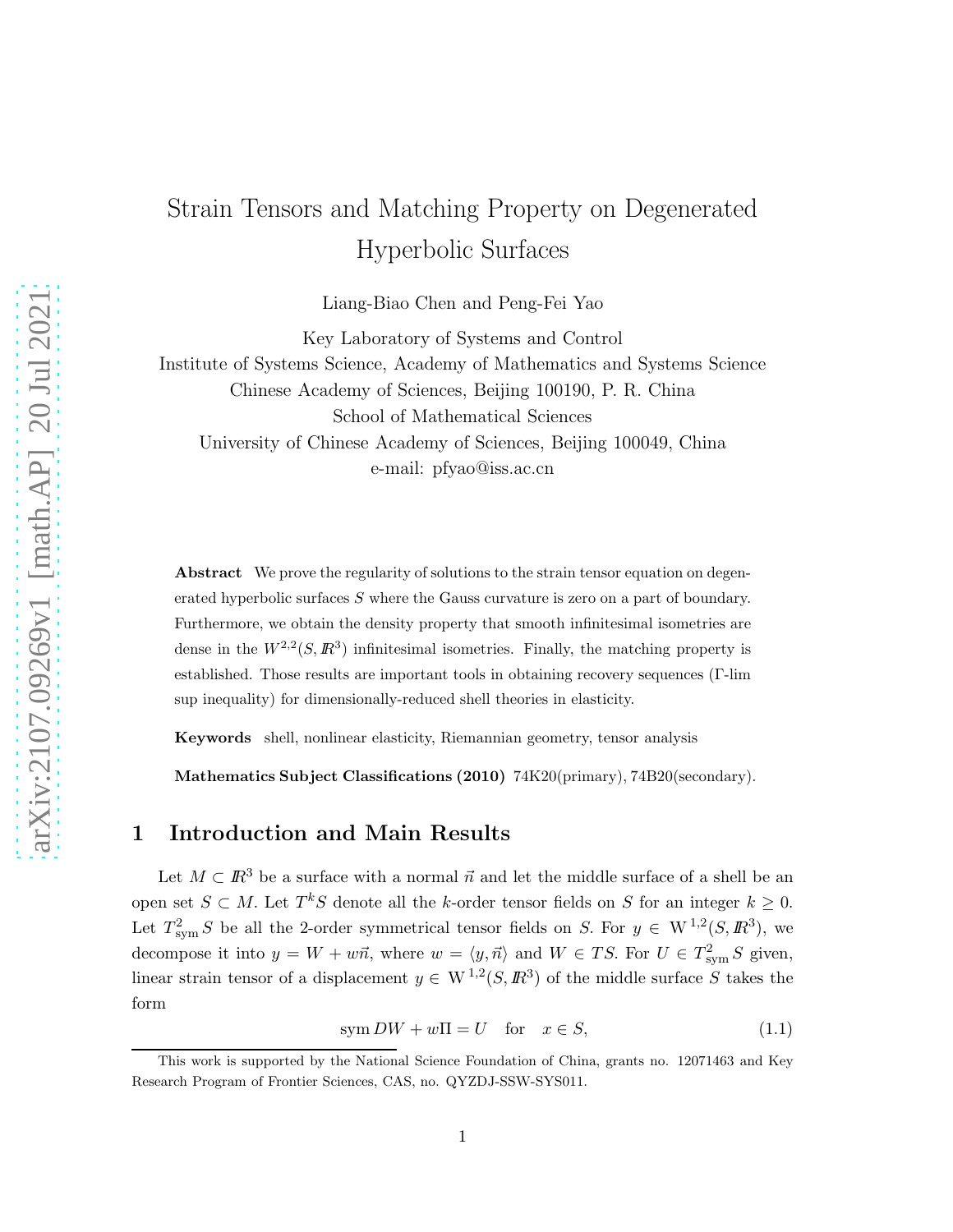# Strain Tensors and Matching Property on Degenerated Hyperbolic Surfaces

Liang-Biao Chen and Peng-Fei Yao

Key Laboratory of Systems and Control Institute of Systems Science, Academy of Mathematics and Systems Science Chinese Academy of Sciences, Beijing 100190, P. R. China School of Mathematical Sciences University of Chinese Academy of Sciences, Beijing 100049, China e-mail: pfyao@iss.ac.cn

Abstract We prove the regularity of solutions to the strain tensor equation on degenerated hyperbolic surfaces S where the Gauss curvature is zero on a part of boundary. Furthermore, we obtain the density property that smooth infinitesimal isometries are dense in the  $W^{2,2}(S,\mathbb{R}^3)$  infinitesimal isometries. Finally, the matching property is established. Those results are important tools in obtaining recovery sequences (Γ-lim sup inequality) for dimensionally-reduced shell theories in elasticity.

Keywords shell, nonlinear elasticity, Riemannian geometry, tensor analysis

Mathematics Subject Classifications (2010) 74K20(primary), 74B20(secondary).

## 1 Introduction and Main Results

Let  $M \subset \mathbb{R}^3$  be a surface with a normal  $\vec{n}$  and let the middle surface of a shell be an open set  $S \subset M$ . Let  $T^kS$  denote all the k-order tensor fields on S for an integer  $k \geq 0$ . Let  $T_{sym}^2 S$  be all the 2-order symmetrical tensor fields on S. For  $y \in W^{1,2}(S,\mathbb{R}^3)$ , we decompose it into  $y = W + w\vec{n}$ , where  $w = \langle y, \vec{n} \rangle$  and  $W \in TS$ . For  $U \in T_{sym}^2 S$  given, linear strain tensor of a displacement  $y \in W^{1,2}(S, \mathbb{R}^3)$  of the middle surface S takes the form

$$
\text{sym } DW + w\Pi = U \quad \text{for} \quad x \in S,\tag{1.1}
$$

This work is supported by the National Science Foundation of China, grants no. 12071463 and Key Research Program of Frontier Sciences, CAS, no. QYZDJ-SSW-SYS011.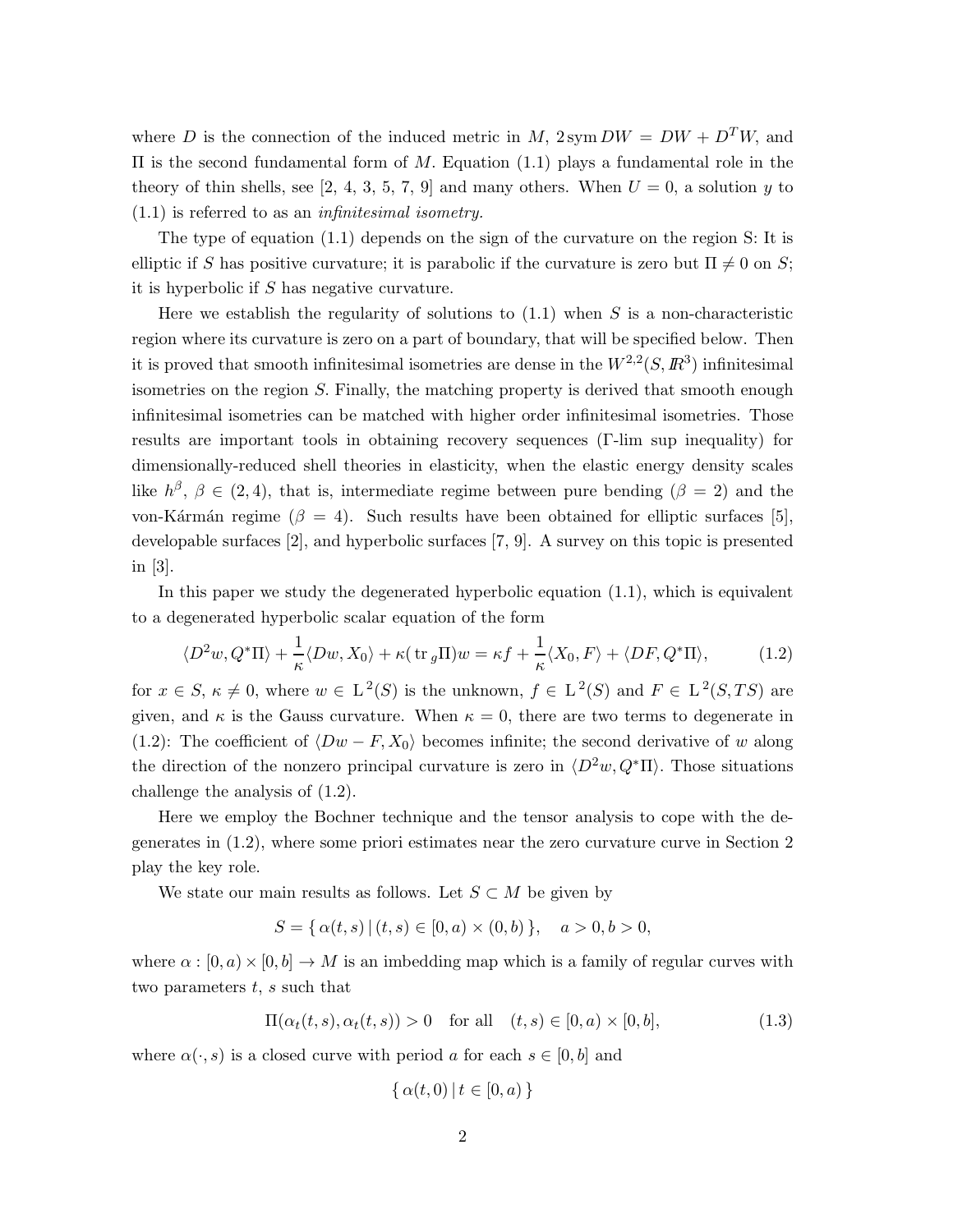where D is the connection of the induced metric in M,  $2 \text{sym } DW = DW + D^TW$ , and Π is the second fundamental form of M. Equation (1.1) plays a fundamental role in the theory of thin shells, see [2, 4, 3, 5, 7, 9] and many others. When  $U = 0$ , a solution y to (1.1) is referred to as an *infinitesimal isometry.*

The type of equation (1.1) depends on the sign of the curvature on the region S: It is elliptic if S has positive curvature; it is parabolic if the curvature is zero but  $\Pi \neq 0$  on S; it is hyperbolic if S has negative curvature.

Here we establish the regularity of solutions to  $(1.1)$  when S is a non-characteristic region where its curvature is zero on a part of boundary, that will be specified below. Then it is proved that smooth infinitesimal isometries are dense in the  $W^{2,2}(S,\mathbb{R}^3)$  infinitesimal isometries on the region S. Finally, the matching property is derived that smooth enough infinitesimal isometries can be matched with higher order infinitesimal isometries. Those results are important tools in obtaining recovery sequences (Γ-lim sup inequality) for dimensionally-reduced shell theories in elasticity, when the elastic energy density scales like  $h^{\beta}$ ,  $\beta \in (2, 4)$ , that is, intermediate regime between pure bending  $(\beta = 2)$  and the von-Kármán regime ( $\beta = 4$ ). Such results have been obtained for elliptic surfaces [5], developable surfaces [2], and hyperbolic surfaces [7, 9]. A survey on this topic is presented in [3].

In this paper we study the degenerated hyperbolic equation (1.1), which is equivalent to a degenerated hyperbolic scalar equation of the form

$$
\langle D^2w, Q^*\Pi \rangle + \frac{1}{\kappa} \langle Dw, X_0 \rangle + \kappa (\operatorname{tr}_g \Pi) w = \kappa f + \frac{1}{\kappa} \langle X_0, F \rangle + \langle DF, Q^*\Pi \rangle, \tag{1.2}
$$

for  $x \in S$ ,  $\kappa \neq 0$ , where  $w \in L^2(S)$  is the unknown,  $f \in L^2(S)$  and  $F \in L^2(S, TS)$  are given, and  $\kappa$  is the Gauss curvature. When  $\kappa = 0$ , there are two terms to degenerate in (1.2): The coefficient of  $\langle Dw - F, X_0 \rangle$  becomes infinite; the second derivative of w along the direction of the nonzero principal curvature is zero in  $\langle D^2w, Q^*\Pi \rangle$ . Those situations challenge the analysis of (1.2).

Here we employ the Bochner technique and the tensor analysis to cope with the degenerates in (1.2), where some priori estimates near the zero curvature curve in Section 2 play the key role.

We state our main results as follows. Let  $S \subset M$  be given by

$$
S = \{ \alpha(t, s) \, | \, (t, s) \in [0, a) \times (0, b) \}, \quad a > 0, b > 0,
$$

where  $\alpha : [0, a] \times [0, b] \to M$  is an imbedding map which is a family of regular curves with two parameters  $t, s$  such that

$$
\Pi(\alpha_t(t,s), \alpha_t(t,s)) > 0 \quad \text{for all} \quad (t,s) \in [0,a) \times [0,b], \tag{1.3}
$$

where  $\alpha(\cdot, s)$  is a closed curve with period a for each  $s \in [0, b]$  and

$$
\{\alpha(t,0)\,|\,t\in[0,a)\,\}
$$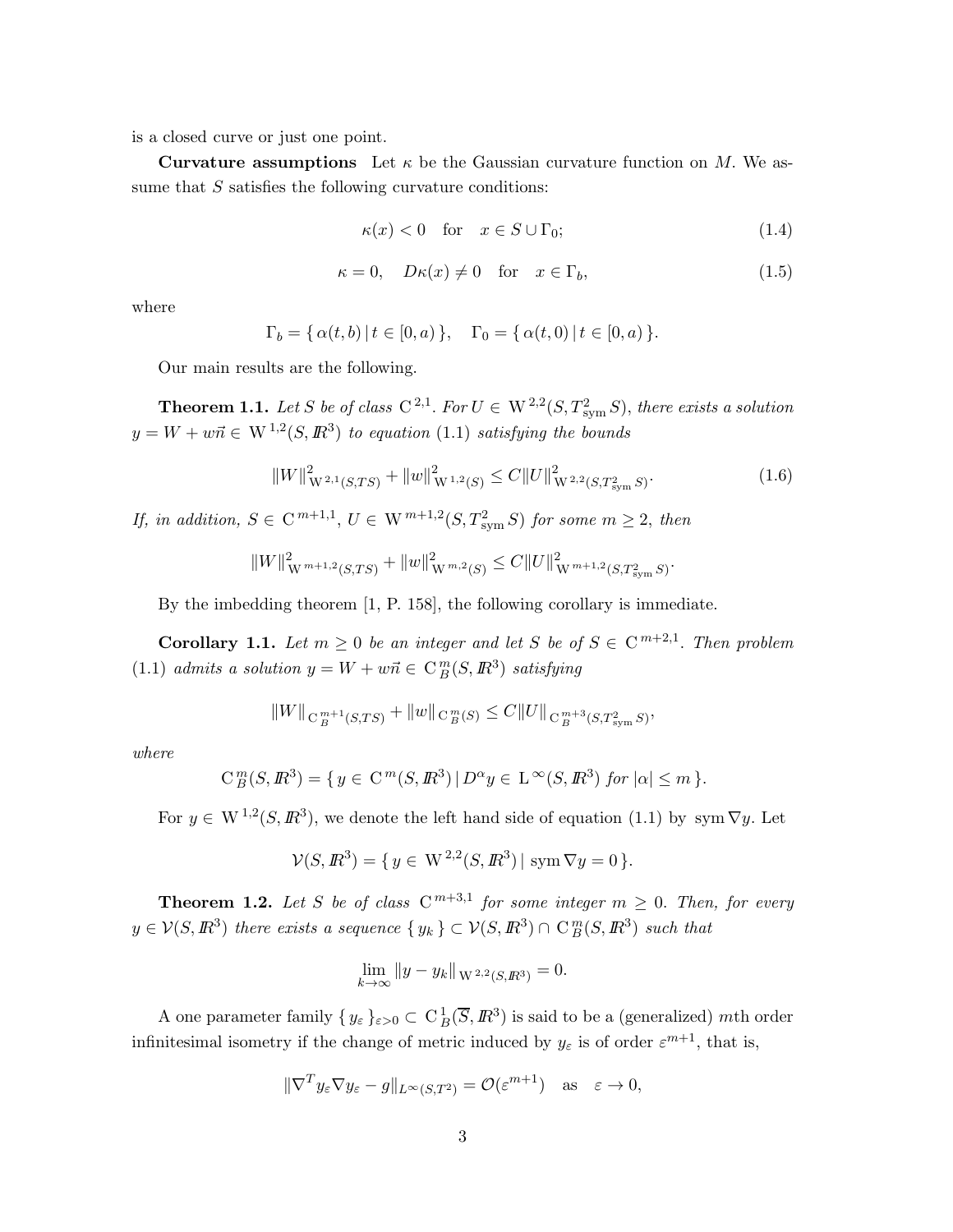is a closed curve or just one point.

**Curvature assumptions** Let  $\kappa$  be the Gaussian curvature function on M. We assume that S satisfies the following curvature conditions:

$$
\kappa(x) < 0 \quad \text{for} \quad x \in S \cup \Gamma_0; \tag{1.4}
$$

$$
\kappa = 0, \quad D\kappa(x) \neq 0 \quad \text{for} \quad x \in \Gamma_b,
$$
\n
$$
(1.5)
$$

where

$$
\Gamma_b = \{ \alpha(t, b) \, | \, t \in [0, a) \}, \quad \Gamma_0 = \{ \alpha(t, 0) \, | \, t \in [0, a) \}.
$$

Our main results are the following.

**Theorem 1.1.** Let S be of class  $C^{2,1}$ . For  $U \in W^{2,2}(S,T_{sym}^2S)$ , there exists a solution  $y = W + w\vec{n} \in W^{1,2}(S, \mathbb{R}^3)$  *to equation* (1.1) *satisfying the bounds* 

$$
||W||_{W^{2,1}(S,TS)}^2 + ||w||_{W^{1,2}(S)}^2 \le C||U||_{W^{2,2}(S,T_{sym}^2S)}^2.
$$
\n(1.6)

.

*If, in addition,*  $S \in \mathbb{C}^{m+1,1}$ ,  $U \in \mathbb{W}^{m+1,2}(S,T_{sym}^2S)$  *for some*  $m \geq 2$ *, then* 

$$
||W||_{W^{m+1,2}(S,TS)}^2 + ||w||_{W^{m,2}(S)}^2 \leq C||U||_{W^{m+1,2}(S,T_{sym}^2S)}^2
$$

By the imbedding theorem [1, P. 158], the following corollary is immediate.

**Corollary 1.1.** Let  $m \geq 0$  be an integer and let S be of  $S \in \mathbb{C}^{m+2,1}$ . Then problem  $(1.1)$  *admits a solution*  $y = W + w\vec{n} \in C_B^m(S, \mathbb{R}^3)$  *satisfying* 

$$
||W||_{\mathcal{C}_B^{m+1}(S,TS)} + ||w||_{\mathcal{C}_B^m(S)} \leq C||U||_{\mathcal{C}_B^{m+3}(S,T^2_{\text{sym}}S)},
$$

*where*

$$
C_B^m(S, \mathbb{R}^3) = \{ y \in C^m(S, \mathbb{R}^3) \mid D^{\alpha} y \in L^{\infty}(S, \mathbb{R}^3) \text{ for } |\alpha| \le m \}.
$$

For  $y \in W^{1,2}(S,\mathbb{R}^3)$ , we denote the left hand side of equation (1.1) by sym  $\nabla y$ . Let

$$
\mathcal{V}(S, \mathbb{R}^3) = \{ y \in \mathcal{W}^{2,2}(S, \mathbb{R}^3) | \operatorname{sym} \nabla y = 0 \}.
$$

**Theorem 1.2.** Let S be of class  $C^{m+3,1}$  for some integer  $m \geq 0$ . Then, for every  $y \in \mathcal{V}(S, \mathbb{R}^3)$  there exists a sequence  $\{y_k\} \subset \mathcal{V}(S, \mathbb{R}^3) \cap C_B^m(S, \mathbb{R}^3)$  such that

$$
\lim_{k \to \infty} \|y - y_k\|_{\mathcal{W}^{2,2}(S,\mathbb{R}^3)} = 0.
$$

A one parameter family  $\{y_{\varepsilon}\}_{\varepsilon>0} \subset C_B^1(\overline{S}, \mathbb{R}^3)$  is said to be a (generalized) mth order infinitesimal isometry if the change of metric induced by  $y_{\varepsilon}$  is of order  $\varepsilon^{m+1}$ , that is,

$$
\|\nabla^T y_\varepsilon \nabla y_\varepsilon - g\|_{L^\infty(S,T^2)} = \mathcal{O}(\varepsilon^{m+1}) \quad \text{as} \quad \varepsilon \to 0,
$$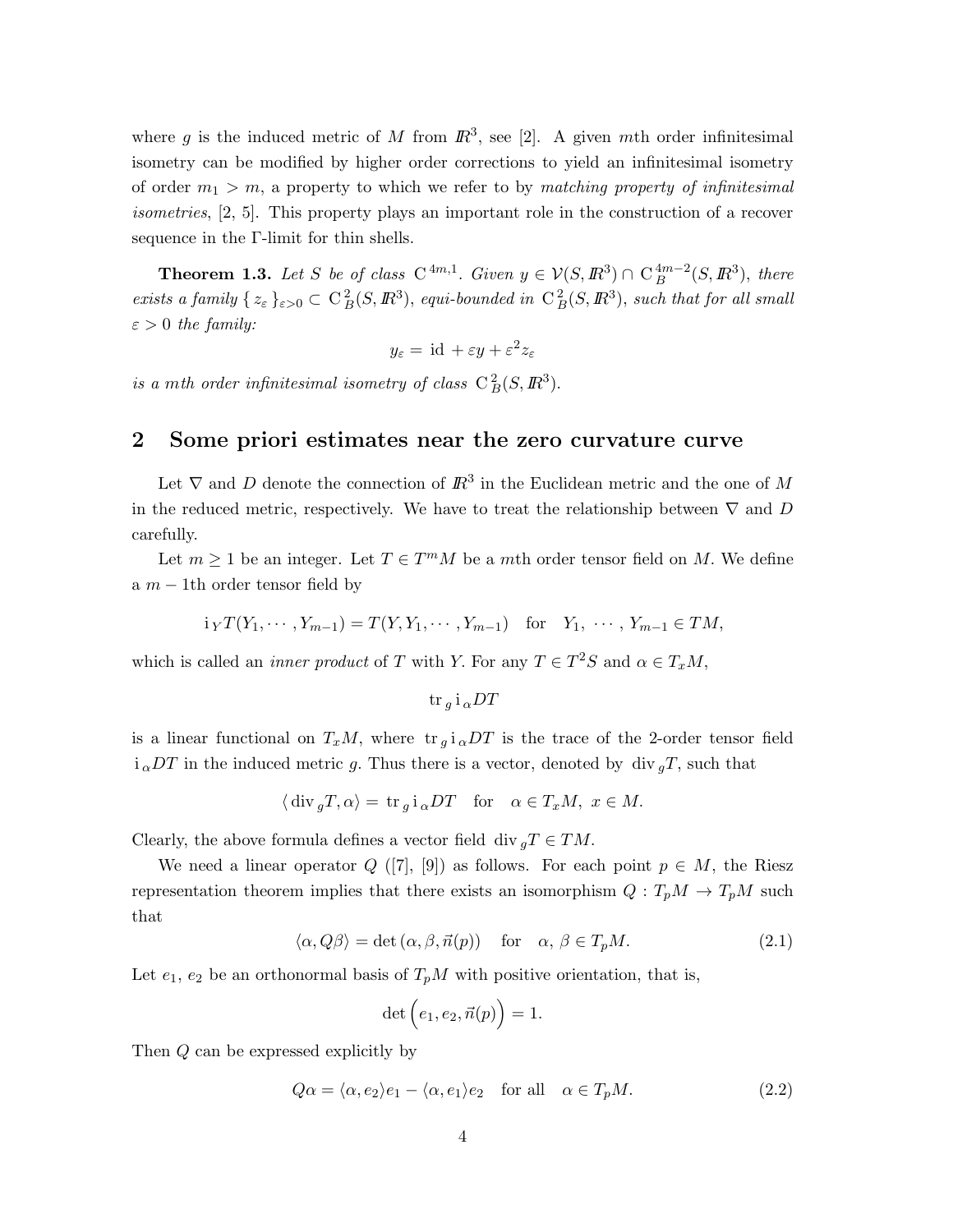where g is the induced metric of M from  $\mathbb{R}^3$ , see [2]. A given mth order infinitesimal isometry can be modified by higher order corrections to yield an infinitesimal isometry of order m<sup>1</sup> > m, a property to which we refer to by *matching property of infinitesimal isometries*, [2, 5]. This property plays an important role in the construction of a recover sequence in the Γ-limit for thin shells.

**Theorem 1.3.** Let S be of class  $C^{4m,1}$ . Given  $y \in V(S, \mathbb{R}^3) \cap C_B^{4m-2}(S, \mathbb{R}^3)$ , there *exists a family*  $\{z_{\varepsilon}\}_{{\varepsilon}>0} \subset C_B^2(S, I\!\!R^3)$ , *equi-bounded in*  $C_B^2(S, I\!\!R^3)$ , *such that for all small*  $\varepsilon > 0$  *the family:* 

$$
y_{\varepsilon} = \mathrm{id} + \varepsilon y + \varepsilon^2 z_{\varepsilon}
$$

*is a mth order infinitesimal isometry of class*  $C_B^2(S, \mathbb{R}^3)$ .

# 2 Some priori estimates near the zero curvature curve

Let  $\nabla$  and D denote the connection of  $\mathbb{R}^3$  in the Euclidean metric and the one of M in the reduced metric, respectively. We have to treat the relationship between  $\nabla$  and D carefully.

Let  $m \geq 1$  be an integer. Let  $T \in T^mM$  be a mth order tensor field on M. We define a  $m - 1$ th order tensor field by

$$
i_YT(Y_1, \dots, Y_{m-1}) = T(Y, Y_1, \dots, Y_{m-1})
$$
 for  $Y_1, \dots, Y_{m-1} \in TM$ ,

which is called an *inner product* of T with Y. For any  $T \in T^2S$  and  $\alpha \in T_xM$ ,

$$
\text{tr}_g i_\alpha DT
$$

is a linear functional on  $T_xM$ , where  $tr_{g}i_{\alpha}DT$  is the trace of the 2-order tensor field  $i_{\alpha}DT$  in the induced metric g. Thus there is a vector, denoted by div  ${}_{q}T$ , such that

$$
\langle \operatorname{div}_g T, \alpha \rangle = \operatorname{tr}_g i_\alpha DT
$$
 for  $\alpha \in T_xM$ ,  $x \in M$ .

Clearly, the above formula defines a vector field div  $_qT \in TM$ .

We need a linear operator  $Q([7], [9])$  as follows. For each point  $p \in M$ , the Riesz representation theorem implies that there exists an isomorphism  $Q: T_pM \to T_pM$  such that

$$
\langle \alpha, Q\beta \rangle = \det(\alpha, \beta, \vec{n}(p)) \quad \text{for} \quad \alpha, \beta \in T_p M. \tag{2.1}
$$

Let  $e_1, e_2$  be an orthonormal basis of  $T_pM$  with positive orientation, that is,

$$
\det\Big(e_1,e_2,\vec{n}(p)\Big)=1.
$$

Then Q can be expressed explicitly by

$$
Q\alpha = \langle \alpha, e_2 \rangle e_1 - \langle \alpha, e_1 \rangle e_2 \quad \text{for all} \quad \alpha \in T_p M. \tag{2.2}
$$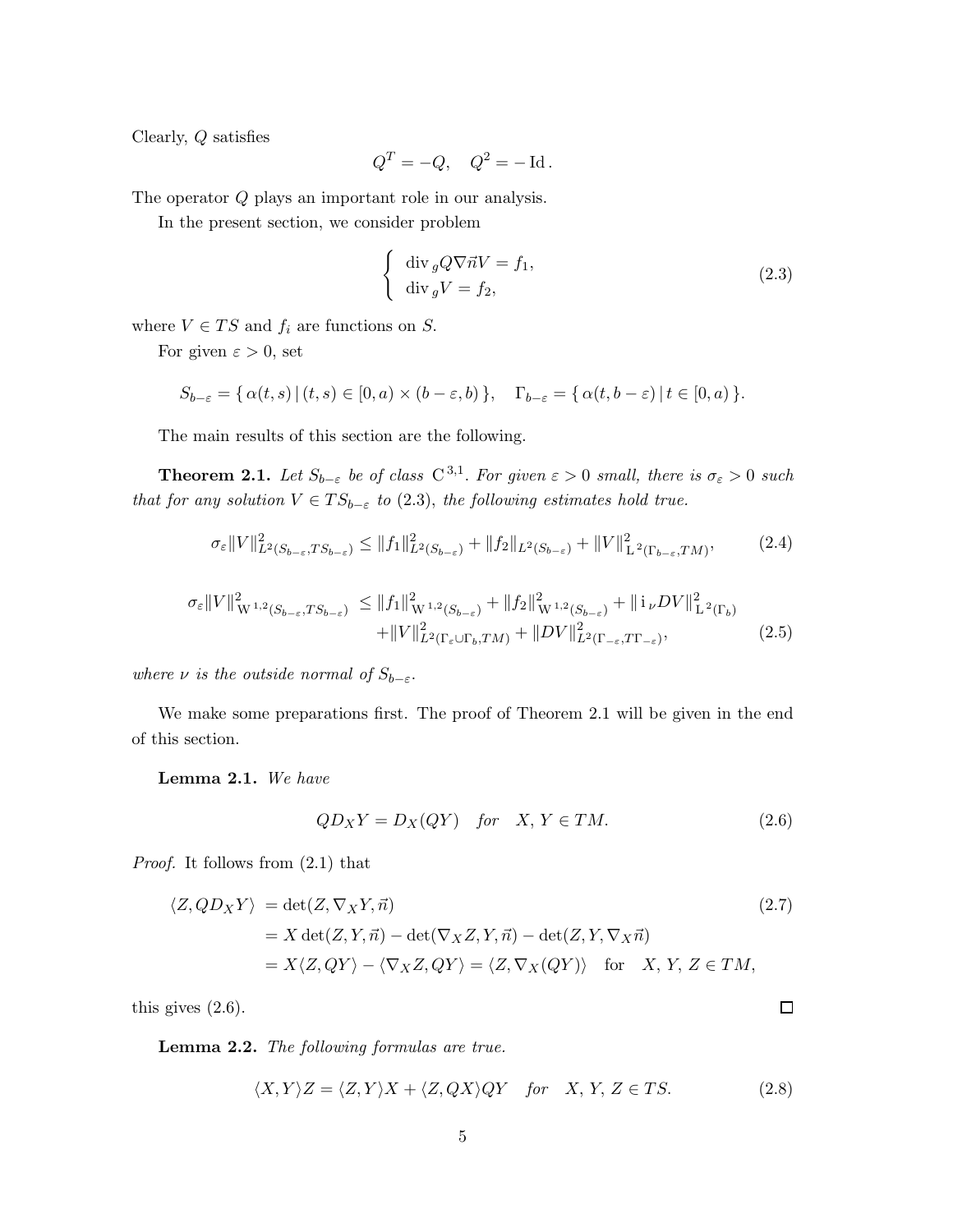Clearly, Q satisfies

$$
Q^T = -Q, \quad Q^2 = -\operatorname{Id}.
$$

The operator Q plays an important role in our analysis.

In the present section, we consider problem

$$
\begin{cases} \operatorname{div}_{g} Q \nabla \vec{n} V = f_{1}, \\ \operatorname{div}_{g} V = f_{2}, \end{cases}
$$
\n(2.3)

where  $V \in TS$  and  $f_i$  are functions on  $S$ .

For given  $\varepsilon > 0$ , set

$$
S_{b-\varepsilon} = \{ \alpha(t,s) \, | \, (t,s) \in [0,a) \times (b-\varepsilon,b) \}, \quad \Gamma_{b-\varepsilon} = \{ \alpha(t,b-\varepsilon) \, | \, t \in [0,a) \}.
$$

The main results of this section are the following.

**Theorem 2.1.** Let  $S_{b-\varepsilon}$  be of class  $C^{3,1}$ . For given  $\varepsilon > 0$  small, there is  $\sigma_{\varepsilon} > 0$  such *that for any solution*  $V \in TS_{b-\varepsilon}$  *to* (2.3), *the following estimates hold true.* 

$$
\sigma_{\varepsilon} ||V||_{L^{2}(S_{b-\varepsilon},TS_{b-\varepsilon})}^{2} \leq ||f_{1}||_{L^{2}(S_{b-\varepsilon})}^{2} + ||f_{2}||_{L^{2}(S_{b-\varepsilon})} + ||V||_{L^{2}(\Gamma_{b-\varepsilon},TM)}^{2}, \tag{2.4}
$$

$$
\sigma_{\varepsilon} ||V||_{W^{1,2}(S_{b-\varepsilon},TS_{b-\varepsilon})}^{2} \leq ||f_{1}||_{W^{1,2}(S_{b-\varepsilon})}^{2} + ||f_{2}||_{W^{1,2}(S_{b-\varepsilon})}^{2} + ||i_{\nu}DV||_{L^{2}(\Gamma_{b})}^{2} + ||V||_{L^{2}(\Gamma_{\varepsilon} \cup \Gamma_{b},TM)}^{2} + ||DV||_{L^{2}(\Gamma_{\varepsilon} \cup \Gamma_{b},TM)}^{2} + ||DV||_{L^{2}(\Gamma_{-\varepsilon},TT_{-\varepsilon})}^{2},
$$
\n(2.5)

*where*  $\nu$  *is the outside normal of*  $S_{b-\varepsilon}$ .

We make some preparations first. The proof of Theorem 2.1 will be given in the end of this section.

Lemma 2.1. *We have*

$$
QD_XY = D_X(QY) \quad \text{for} \quad X, Y \in TM. \tag{2.6}
$$

*Proof.* It follows from (2.1) that

$$
\langle Z, QD_X Y \rangle = \det(Z, \nabla_X Y, \vec{n})
$$
  
= X det(Z, Y, \vec{n}) - det(\nabla\_X Z, Y, \vec{n}) - det(Z, Y, \nabla\_X \vec{n})  
= X \langle Z, QY \rangle - \langle \nabla\_X Z, QY \rangle = \langle Z, \nabla\_X (QY) \rangle \quad \text{for} \quad X, Y, Z \in TM,

this gives (2.6).

Lemma 2.2. *The following formulas are true.*

$$
\langle X, Y \rangle Z = \langle Z, Y \rangle X + \langle Z, QX \rangle QY \quad \text{for} \quad X, Y, Z \in TS. \tag{2.8}
$$

 $\Box$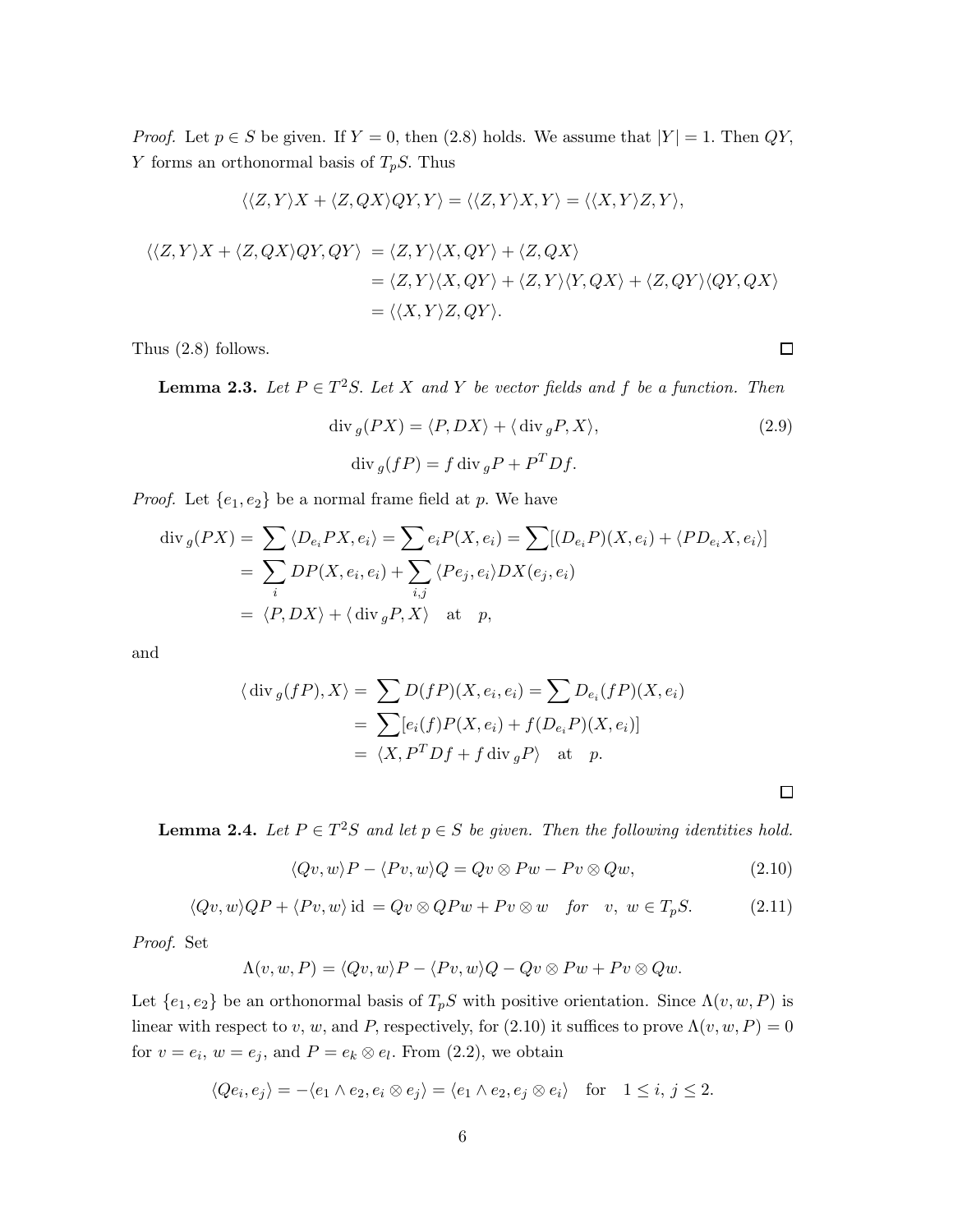*Proof.* Let  $p \in S$  be given. If  $Y = 0$ , then  $(2.8)$  holds. We assume that  $|Y| = 1$ . Then  $QY$ , Y forms an orthonormal basis of  $T_pS$ . Thus

$$
\langle \langle Z, Y \rangle X + \langle Z, QX \rangle QY, Y \rangle = \langle \langle Z, Y \rangle X, Y \rangle = \langle \langle X, Y \rangle Z, Y \rangle,
$$

$$
\langle \langle Z, Y \rangle X + \langle Z, QX \rangle QY, QY \rangle = \langle Z, Y \rangle \langle X, QY \rangle + \langle Z, QX \rangle
$$
  
=  $\langle Z, Y \rangle \langle X, QY \rangle + \langle Z, Y \rangle \langle Y, QX \rangle + \langle Z, QY \rangle \langle QY, QX \rangle$   
=  $\langle \langle X, Y \rangle Z, QY \rangle$ .

Thus (2.8) follows.

**Lemma 2.3.** Let  $P \in T^2S$ . Let X and Y be vector fields and f be a function. Then

$$
\operatorname{div}_g(PX) = \langle P, DX \rangle + \langle \operatorname{div}_g P, X \rangle,
$$
\n
$$
\operatorname{div}_g(fP) = f \operatorname{div}_g P + P^T D f.
$$
\n(2.9)

*Proof.* Let  $\{e_1, e_2\}$  be a normal frame field at p. We have

$$
\operatorname{div}_g(PX) = \sum_i \langle D_{e_i} PX, e_i \rangle = \sum_{i} e_i P(X, e_i) = \sum_{i} [(D_{e_i} P)(X, e_i) + \langle PD_{e_i} X, e_i \rangle]
$$
  
= 
$$
\sum_i DP(X, e_i, e_i) + \sum_{i,j} \langle Pe_j, e_i \rangle DX(e_j, e_i)
$$
  
= 
$$
\langle P, DX \rangle + \langle \operatorname{div}_g P, X \rangle \quad \text{at} \quad p,
$$

and

$$
\langle \operatorname{div}_g(fP), X \rangle = \sum D(fP)(X, e_i, e_i) = \sum D_{e_i}(fP)(X, e_i)
$$
  
= 
$$
\sum [e_i(f)P(X, e_i) + f(D_{e_i}P)(X, e_i)]
$$
  
= 
$$
\langle X, P^T Df + f \operatorname{div}_g P \rangle \text{ at } p.
$$

**Lemma 2.4.** Let  $P \in T^2S$  and let  $p \in S$  be given. Then the following identities hold.

$$
\langle Qv, w \rangle P - \langle Pv, w \rangle Q = Qv \otimes Pw - Pv \otimes Qw,
$$
\n(2.10)

$$
\langle Qv, w \rangle QP + \langle Pv, w \rangle \text{ id } = Qv \otimes QPw + Pv \otimes w \quad \text{for} \quad v, \ w \in T_pS. \tag{2.11}
$$

*Proof.* Set

$$
\Lambda(v, w, P) = \langle Qv, w \rangle P - \langle Pv, w \rangle Q - Qv \otimes Pw + Pv \otimes Qw.
$$

Let  $\{e_1, e_2\}$  be an orthonormal basis of  $T_pS$  with positive orientation. Since  $\Lambda(v, w, P)$  is linear with respect to v, w, and P, respectively, for (2.10) it suffices to prove  $\Lambda(v, w, P) = 0$ for  $v = e_i$ ,  $w = e_j$ , and  $P = e_k \otimes e_l$ . From (2.2), we obtain

$$
\langle Qe_i, e_j \rangle = -\langle e_1 \wedge e_2, e_i \otimes e_j \rangle = \langle e_1 \wedge e_2, e_j \otimes e_i \rangle \quad \text{for} \quad 1 \leq i, j \leq 2.
$$

 $\Box$ 

 $\Box$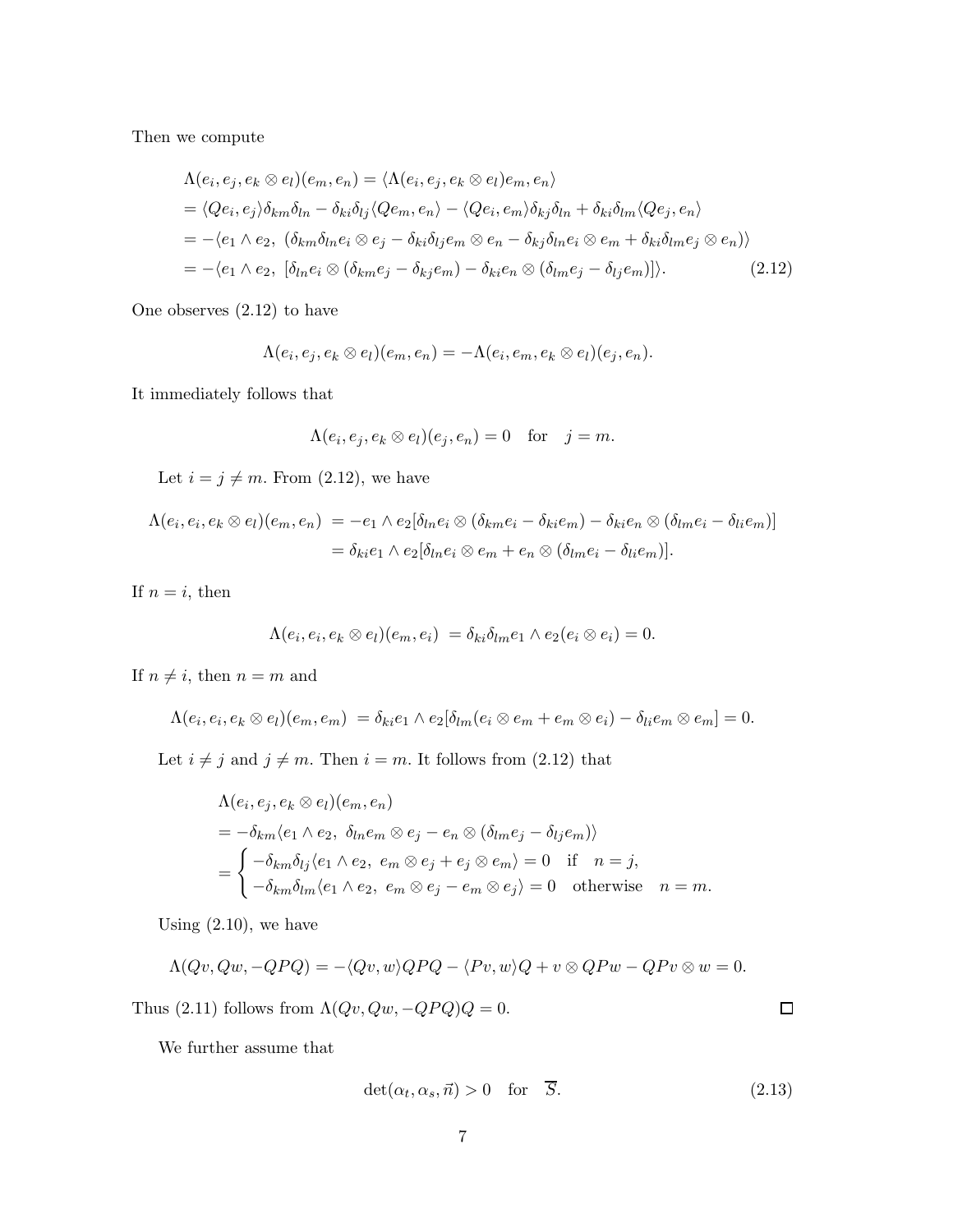Then we compute

$$
\Lambda(e_i, e_j, e_k \otimes e_l)(e_m, e_n) = \langle \Lambda(e_i, e_j, e_k \otimes e_l)e_m, e_n \rangle
$$
  
\n
$$
= \langle Qe_i, e_j \rangle \delta_{km}\delta_{ln} - \delta_{ki}\delta_{lj}\langle Qe_m, e_n \rangle - \langle Qe_i, e_m \rangle \delta_{kj}\delta_{ln} + \delta_{ki}\delta_{lm}\langle Qe_j, e_n \rangle
$$
  
\n
$$
= - \langle e_1 \wedge e_2, (\delta_{km}\delta_{ln}e_i \otimes e_j - \delta_{ki}\delta_{lj}e_m \otimes e_n - \delta_{kj}\delta_{ln}e_i \otimes e_m + \delta_{ki}\delta_{lm}e_j \otimes e_n) \rangle
$$
  
\n
$$
= - \langle e_1 \wedge e_2, [\delta_{ln}e_i \otimes (\delta_{km}e_j - \delta_{kj}e_m) - \delta_{ki}e_n \otimes (\delta_{lm}e_j - \delta_{lj}e_m)] \rangle.
$$
 (2.12)

One observes (2.12) to have

$$
\Lambda(e_i,e_j,e_k\otimes e_l)(e_m,e_n)=-\Lambda(e_i,e_m,e_k\otimes e_l)(e_j,e_n).
$$

It immediately follows that

$$
\Lambda(e_i, e_j, e_k \otimes e_l)(e_j, e_n) = 0 \text{ for } j = m.
$$

Let  $i = j \neq m$ . From (2.12), we have

$$
\Lambda(e_i, e_i, e_k \otimes e_l)(e_m, e_n) = -e_1 \wedge e_2[\delta_{ln}e_i \otimes (\delta_{km}e_i - \delta_{ki}e_m) - \delta_{ki}e_n \otimes (\delta_{lm}e_i - \delta_{li}e_m)]
$$
  
=  $\delta_{ki}e_1 \wedge e_2[\delta_{ln}e_i \otimes e_m + e_n \otimes (\delta_{lm}e_i - \delta_{li}e_m)].$ 

If  $n = i$ , then

$$
\Lambda(e_i, e_i, e_k \otimes e_l)(e_m, e_i) = \delta_{ki}\delta_{lm}e_1 \wedge e_2(e_i \otimes e_i) = 0.
$$

If  $n \neq i$ , then  $n = m$  and

$$
\Lambda(e_i,e_i,e_k\otimes e_l)(e_m,e_m)=\delta_{ki}e_1\wedge e_2[\delta_{lm}(e_i\otimes e_m+e_m\otimes e_i)-\delta_{li}e_m\otimes e_m]=0.
$$

Let  $i \neq j$  and  $j \neq m$ . Then  $i = m$ . It follows from (2.12) that

$$
\Lambda(e_i, e_j, e_k \otimes e_l)(e_m, e_n)
$$
  
=  $-\delta_{km}\langle e_1 \wedge e_2, \delta_{ln}e_m \otimes e_j - e_n \otimes (\delta_{lm}e_j - \delta_{lj}e_m) \rangle$   
=  $\begin{cases} -\delta_{km}\delta_{lj}\langle e_1 \wedge e_2, e_m \otimes e_j + e_j \otimes e_m \rangle = 0 & \text{if } n = j, \\ -\delta_{km}\delta_{lm}\langle e_1 \wedge e_2, e_m \otimes e_j - e_m \otimes e_j \rangle = 0 & \text{otherwise} \end{cases} n = m.$ 

Using  $(2.10)$ , we have

$$
\Lambda(Qv,Qw,-QPQ) = -\langle Qv,w\rangle QPQ - \langle Pv,w\rangle Q + v \otimes QPw - QPv \otimes w = 0.
$$

Thus (2.11) follows from  $\Lambda(Qv,Qw,-QPQ)Q=0.$ 

 $\Box$ 

We further assume that

$$
\det(\alpha_t, \alpha_s, \vec{n}) > 0 \quad \text{for} \quad \overline{S}.
$$
\n(2.13)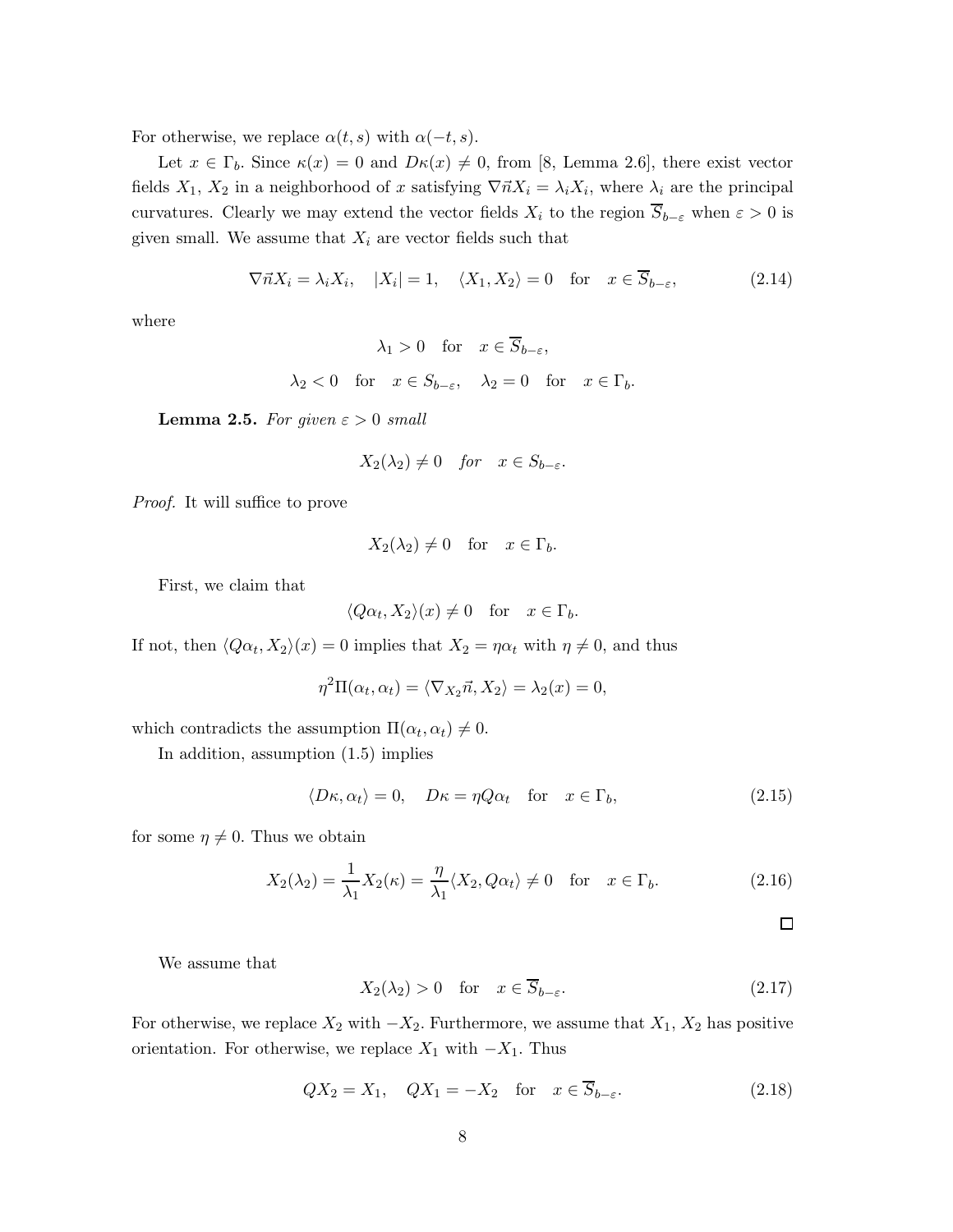For otherwise, we replace  $\alpha(t, s)$  with  $\alpha(-t, s)$ .

Let  $x \in \Gamma_b$ . Since  $\kappa(x) = 0$  and  $D\kappa(x) \neq 0$ , from [8, Lemma 2.6], there exist vector fields  $X_1, X_2$  in a neighborhood of x satisfying  $\nabla \vec{n}X_i = \lambda_i X_i$ , where  $\lambda_i$  are the principal curvatures. Clearly we may extend the vector fields  $X_i$  to the region  $\overline{S}_{b-\varepsilon}$  when  $\varepsilon > 0$  is given small. We assume that  $X_i$  are vector fields such that

$$
\nabla \vec{n} X_i = \lambda_i X_i, \quad |X_i| = 1, \quad \langle X_1, X_2 \rangle = 0 \quad \text{for} \quad x \in \overline{S}_{b-\varepsilon}, \tag{2.14}
$$

where

$$
\lambda_1 > 0 \quad \text{for} \quad x \in \overline{S}_{b-\varepsilon},
$$

$$
\lambda_2 < 0
$$
 for  $x \in S_{b-\varepsilon}$ ,  $\lambda_2 = 0$  for  $x \in \Gamma_b$ .

**Lemma 2.5.** *For given*  $\varepsilon > 0$  *small* 

$$
X_2(\lambda_2) \neq 0 \quad \text{for} \quad x \in S_{b-\varepsilon}.
$$

*Proof.* It will suffice to prove

$$
X_2(\lambda_2) \neq 0 \quad \text{for} \quad x \in \Gamma_b.
$$

First, we claim that

$$
\langle Q\alpha_t, X_2 \rangle (x) \neq 0 \quad \text{for} \quad x \in \Gamma_b.
$$

If not, then  $\langle Q\alpha_t, X_2\rangle(x) = 0$  implies that  $X_2 = \eta\alpha_t$  with  $\eta \neq 0$ , and thus

$$
\eta^{2}\Pi(\alpha_{t}, \alpha_{t}) = \langle \nabla_{X_{2}}\vec{n}, X_{2} \rangle = \lambda_{2}(x) = 0,
$$

which contradicts the assumption  $\Pi(\alpha_t, \alpha_t) \neq 0$ .

In addition, assumption (1.5) implies

$$
\langle D\kappa, \alpha_t \rangle = 0, \quad D\kappa = \eta Q \alpha_t \quad \text{for} \quad x \in \Gamma_b,
$$
\n(2.15)

for some  $\eta \neq 0$ . Thus we obtain

$$
X_2(\lambda_2) = \frac{1}{\lambda_1} X_2(\kappa) = \frac{\eta}{\lambda_1} \langle X_2, Q\alpha_t \rangle \neq 0 \quad \text{for} \quad x \in \Gamma_b.
$$
 (2.16)

$$
\Box
$$

We assume that

$$
X_2(\lambda_2) > 0 \quad \text{for} \quad x \in \overline{S}_{b-\varepsilon}.\tag{2.17}
$$

For otherwise, we replace  $X_2$  with  $-X_2$ . Furthermore, we assume that  $X_1, X_2$  has positive orientation. For otherwise, we replace  $X_1$  with  $-X_1$ . Thus

$$
QX_2 = X_1, \quad QX_1 = -X_2 \quad \text{for} \quad x \in \overline{S}_{b-\varepsilon}.
$$
 (2.18)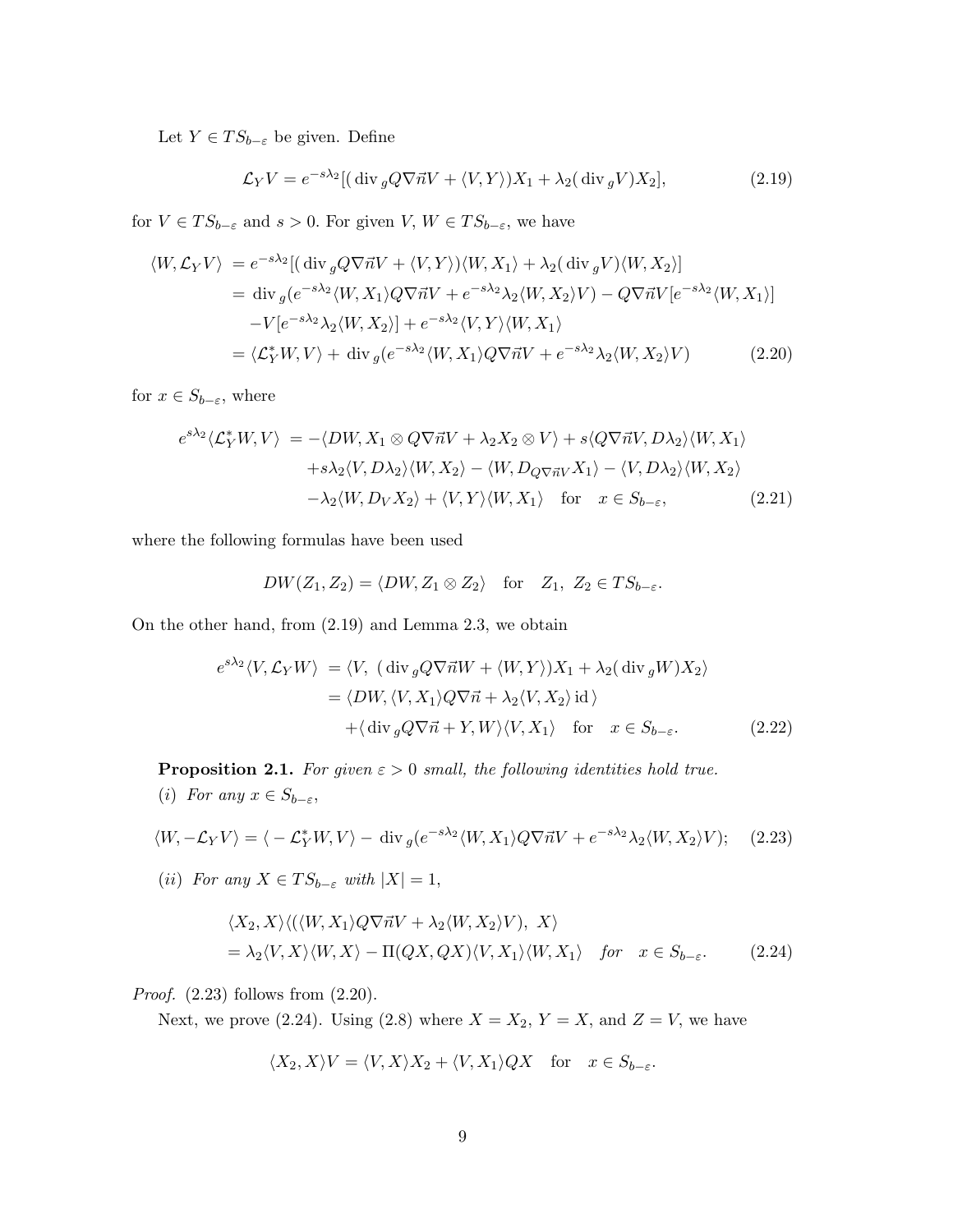Let  $Y \in TS_{b-\varepsilon}$  be given. Define

$$
\mathcal{L}_Y V = e^{-s\lambda_2} \left[ \left( \operatorname{div}_g Q \nabla \vec{n} V + \langle V, Y \rangle \right) X_1 + \lambda_2 (\operatorname{div}_g V) X_2 \right],\tag{2.19}
$$

for  $V \in TS_{b-\varepsilon}$  and  $s > 0$ . For given  $V, W \in TS_{b-\varepsilon}$ , we have

$$
\langle W, \mathcal{L}_Y V \rangle = e^{-s\lambda_2} [(\text{div}_g Q \nabla \vec{n} V + \langle V, Y \rangle) \langle W, X_1 \rangle + \lambda_2 (\text{div}_g V) \langle W, X_2 \rangle]
$$
  
\n
$$
= \text{div}_g (e^{-s\lambda_2} \langle W, X_1 \rangle Q \nabla \vec{n} V + e^{-s\lambda_2} \lambda_2 \langle W, X_2 \rangle V) - Q \nabla \vec{n} V [e^{-s\lambda_2} \langle W, X_1 \rangle]
$$
  
\n
$$
-V [e^{-s\lambda_2} \lambda_2 \langle W, X_2 \rangle] + e^{-s\lambda_2} \langle V, Y \rangle \langle W, X_1 \rangle
$$
  
\n
$$
= \langle \mathcal{L}_Y^* W, V \rangle + \text{div}_g (e^{-s\lambda_2} \langle W, X_1 \rangle Q \nabla \vec{n} V + e^{-s\lambda_2} \lambda_2 \langle W, X_2 \rangle V)
$$
(2.20)

for  $x \in S_{b-\varepsilon}$ , where

$$
e^{s\lambda_2}\langle \mathcal{L}_Y^*W, V \rangle = -\langle DW, X_1 \otimes Q\nabla \vec{n}V + \lambda_2 X_2 \otimes V \rangle + s \langle Q\nabla \vec{n}V, D\lambda_2 \rangle \langle W, X_1 \rangle
$$
  
+ $s\lambda_2 \langle V, D\lambda_2 \rangle \langle W, X_2 \rangle - \langle W, D_Q\nabla \vec{n}V X_1 \rangle - \langle V, D\lambda_2 \rangle \langle W, X_2 \rangle$   
- $\lambda_2 \langle W, D_V X_2 \rangle + \langle V, Y \rangle \langle W, X_1 \rangle \quad \text{for} \quad x \in S_{b-\varepsilon},$  (2.21)

where the following formulas have been used

$$
DW(Z_1, Z_2) = \langle DW, Z_1 \otimes Z_2 \rangle \quad \text{for} \quad Z_1, Z_2 \in TS_{b-\varepsilon}.
$$

On the other hand, from (2.19) and Lemma 2.3, we obtain

$$
e^{s\lambda_2}\langle V, \mathcal{L}_Y W \rangle = \langle V, (\text{div}_g Q \nabla \vec{n} W + \langle W, Y \rangle) X_1 + \lambda_2 (\text{div}_g W) X_2 \rangle
$$
  
=  $\langle DW, \langle V, X_1 \rangle Q \nabla \vec{n} + \lambda_2 \langle V, X_2 \rangle \text{ id } \rangle$   
+  $\langle \text{div}_g Q \nabla \vec{n} + Y, W \rangle \langle V, X_1 \rangle \text{ for } x \in S_{b-\varepsilon}.$  (2.22)

**Proposition 2.1.** *For given*  $\varepsilon > 0$  *small, the following identities hold true.* (*i*) *For any*  $x \in S_{b-\varepsilon}$ ,

$$
\langle W, -\mathcal{L}_Y V \rangle = \langle -\mathcal{L}_Y^* W, V \rangle - \text{div}_g (e^{-s\lambda_2} \langle W, X_1 \rangle Q \nabla \vec{n} V + e^{-s\lambda_2} \lambda_2 \langle W, X_2 \rangle V); \quad (2.23)
$$

(*ii*) *For any*  $X \in TS_{b-\varepsilon}$  *with*  $|X|=1$ ,

$$
\langle X_2, X \rangle \langle (\langle W, X_1 \rangle Q \nabla \vec{n} V + \lambda_2 \langle W, X_2 \rangle V), X \rangle
$$
  
=  $\lambda_2 \langle V, X \rangle \langle W, X \rangle - \Pi(QX, QX) \langle V, X_1 \rangle \langle W, X_1 \rangle \quad \text{for} \quad x \in S_{b-\varepsilon}.$  (2.24)

*Proof.* (2.23) follows from (2.20).

Next, we prove (2.24). Using (2.8) where  $X = X_2$ ,  $Y = X$ , and  $Z = V$ , we have

$$
\langle X_2, X \rangle V = \langle V, X \rangle X_2 + \langle V, X_1 \rangle QX \quad \text{for} \quad x \in S_{b-\varepsilon}.
$$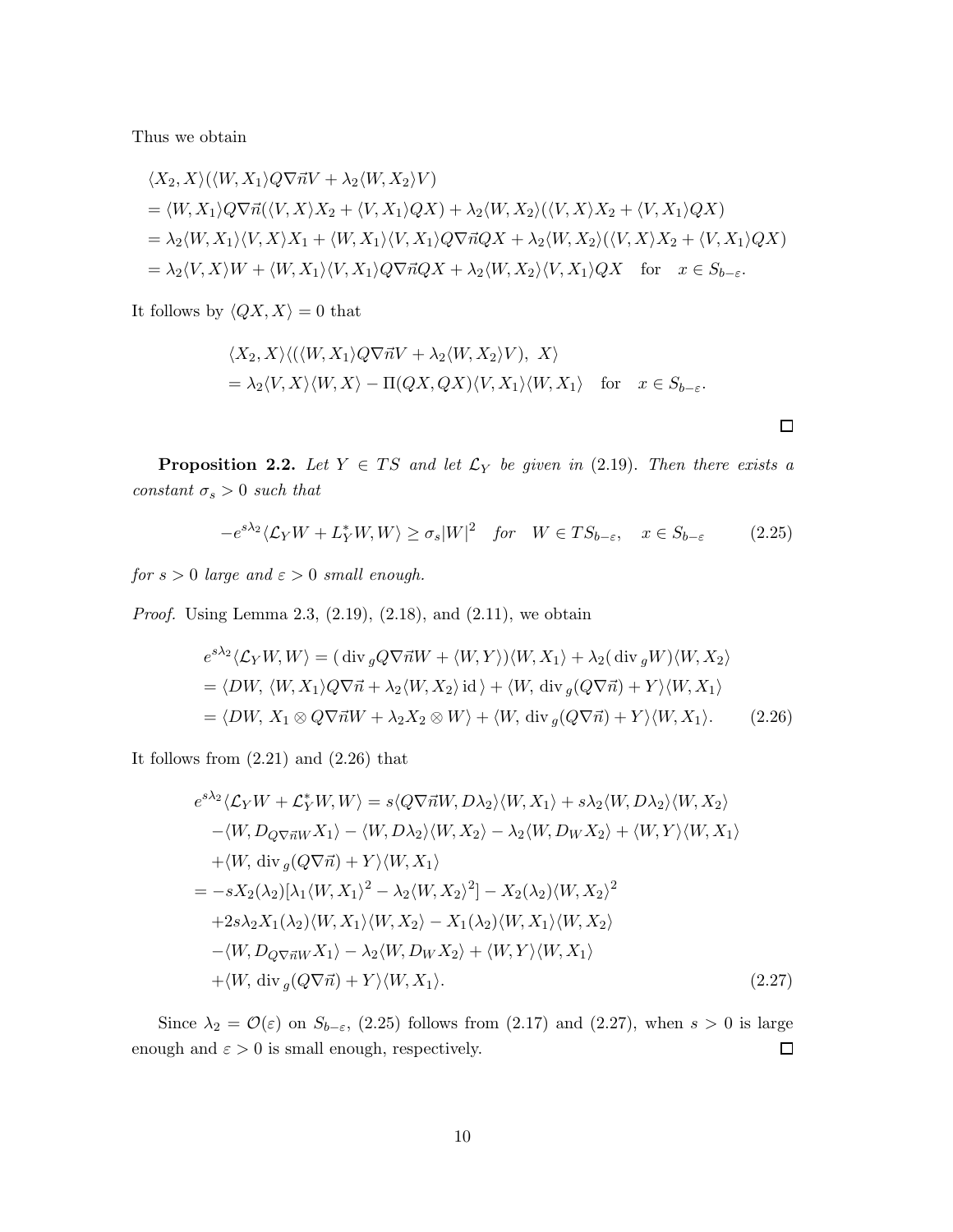Thus we obtain

$$
\langle X_2, X \rangle (\langle W, X_1 \rangle Q \nabla \vec{n} V + \lambda_2 \langle W, X_2 \rangle V)
$$
  
=  $\langle W, X_1 \rangle Q \nabla \vec{n} (\langle V, X \rangle X_2 + \langle V, X_1 \rangle Q X) + \lambda_2 \langle W, X_2 \rangle (\langle V, X \rangle X_2 + \langle V, X_1 \rangle Q X)$   
=  $\lambda_2 \langle W, X_1 \rangle \langle V, X \rangle X_1 + \langle W, X_1 \rangle \langle V, X_1 \rangle Q \nabla \vec{n} Q X + \lambda_2 \langle W, X_2 \rangle (\langle V, X \rangle X_2 + \langle V, X_1 \rangle Q X)$   
=  $\lambda_2 \langle V, X \rangle W + \langle W, X_1 \rangle \langle V, X_1 \rangle Q \nabla \vec{n} Q X + \lambda_2 \langle W, X_2 \rangle \langle V, X_1 \rangle Q X$  for  $x \in S_{b-\varepsilon}$ .

It follows by  $\langle QX, X \rangle = 0$  that

$$
\langle X_2, X \rangle \langle (\langle W, X_1 \rangle Q \nabla \vec{n} V + \lambda_2 \langle W, X_2 \rangle V), X \rangle
$$
  
=  $\lambda_2 \langle V, X \rangle \langle W, X \rangle - \Pi (QX, QX) \langle V, X_1 \rangle \langle W, X_1 \rangle$  for  $x \in S_{b-\varepsilon}$ .

**Proposition 2.2.** Let  $Y \in TS$  and let  $\mathcal{L}_Y$  be given in (2.19). Then there exists a  $\textit{constant}$   $\sigma_s > 0$   $\textit{such that}$ 

$$
-e^{s\lambda_2}\langle \mathcal{L}_Y W + L_Y^* W, W \rangle \ge \sigma_s |W|^2 \quad \text{for} \quad W \in TS_{b-\varepsilon}, \quad x \in S_{b-\varepsilon} \tag{2.25}
$$

*for*  $s > 0$  *large and*  $\varepsilon > 0$  *small enough.* 

*Proof.* Using Lemma 2.3, (2.19), (2.18), and (2.11), we obtain

$$
e^{s\lambda_2}\langle \mathcal{L}_Y W, W \rangle = (\text{div}_g Q \nabla \vec{n}W + \langle W, Y \rangle) \langle W, X_1 \rangle + \lambda_2 (\text{div}_g W) \langle W, X_2 \rangle
$$
  
=  $\langle DW, \langle W, X_1 \rangle Q \nabla \vec{n} + \lambda_2 \langle W, X_2 \rangle \text{ id } \rangle + \langle W, \text{div}_g (Q \nabla \vec{n}) + Y \rangle \langle W, X_1 \rangle$   
=  $\langle DW, X_1 \otimes Q \nabla \vec{n}W + \lambda_2 X_2 \otimes W \rangle + \langle W, \text{div}_g (Q \nabla \vec{n}) + Y \rangle \langle W, X_1 \rangle.$  (2.26)

It follows from  $(2.21)$  and  $(2.26)$  that

$$
e^{s\lambda_2}\langle \mathcal{L}_Y W + \mathcal{L}_Y^* W, W \rangle = s \langle Q \nabla \vec{n} W, D \lambda_2 \rangle \langle W, X_1 \rangle + s \lambda_2 \langle W, D \lambda_2 \rangle \langle W, X_2 \rangle
$$
  
– $\langle W, D_{Q} \nabla \vec{n} W X_1 \rangle - \langle W, D \lambda_2 \rangle \langle W, X_2 \rangle - \lambda_2 \langle W, D_W X_2 \rangle + \langle W, Y \rangle \langle W, X_1 \rangle$   
+ $\langle W, \text{div}_g (Q \nabla \vec{n}) + Y \rangle \langle W, X_1 \rangle$   
=  $-s X_2(\lambda_2) [\lambda_1 \langle W, X_1 \rangle^2 - \lambda_2 \langle W, X_2 \rangle^2] - X_2(\lambda_2) \langle W, X_2 \rangle^2$   
+  $2s \lambda_2 X_1(\lambda_2) \langle W, X_1 \rangle \langle W, X_2 \rangle - X_1(\lambda_2) \langle W, X_1 \rangle \langle W, X_2 \rangle$   
– $\langle W, D_{Q} \nabla \vec{n} W X_1 \rangle - \lambda_2 \langle W, D_W X_2 \rangle + \langle W, Y \rangle \langle W, X_1 \rangle$   
+ $\langle W, \text{div}_g (Q \nabla \vec{n}) + Y \rangle \langle W, X_1 \rangle.$  (2.27)

Since  $\lambda_2 = \mathcal{O}(\varepsilon)$  on  $S_{b-\varepsilon}$ , (2.25) follows from (2.17) and (2.27), when  $s > 0$  is large enough and  $\varepsilon>0$  is small enough, respectively.  $\Box$ 

 $\Box$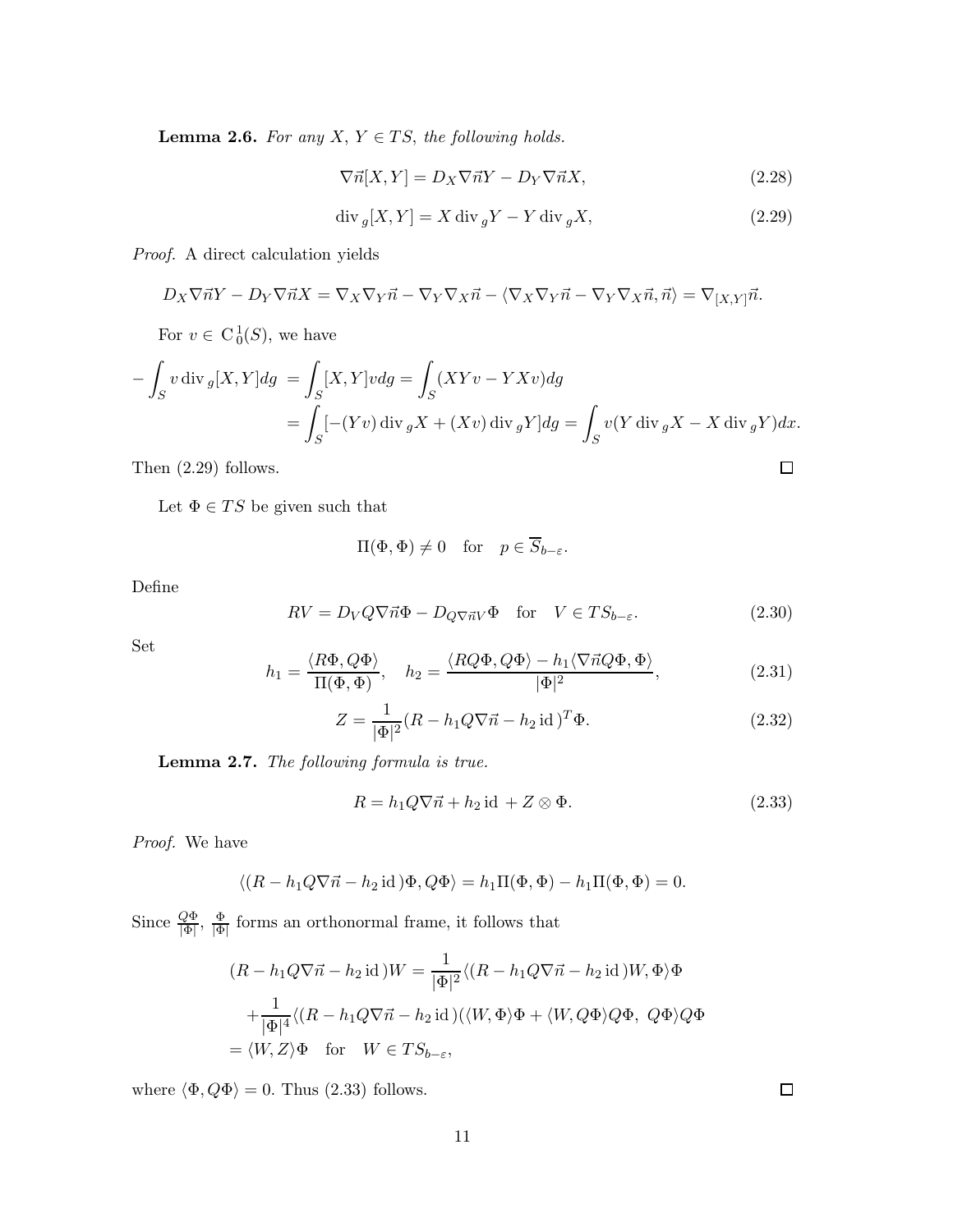**Lemma 2.6.** For any  $X, Y \in TS$ , the following holds.

$$
\nabla \vec{n}[X, Y] = D_X \nabla \vec{n} Y - D_Y \nabla \vec{n} X,\tag{2.28}
$$

$$
\operatorname{div}_g[X,Y] = X \operatorname{div}_g Y - Y \operatorname{div}_g X,\tag{2.29}
$$

*Proof.* A direct calculation yields

$$
D_X \nabla \vec{n} Y - D_Y \nabla \vec{n} X = \nabla_X \nabla_Y \vec{n} - \nabla_Y \nabla_X \vec{n} - \langle \nabla_X \nabla_Y \vec{n} - \nabla_Y \nabla_X \vec{n}, \vec{n} \rangle = \nabla_{[X, Y]} \vec{n}.
$$

For  $v \in C_0^1(S)$ , we have

$$
-\int_{S} v \operatorname{div} g[X, Y] dg = \int_{S} [X, Y] v dg = \int_{S} (XYv - YXv) dg
$$
  
= 
$$
\int_{S} [-(Yv) \operatorname{div} gX + (Xv) \operatorname{div} gY] dg = \int_{S} v(Y \operatorname{div} gX - X \operatorname{div} gY) dx.
$$

Then (2.29) follows.

Let  $\Phi \in TS$  be given such that

$$
\Pi(\Phi, \Phi) \neq 0 \quad \text{for} \quad p \in \overline{S}_{b-\varepsilon}.
$$

Define

$$
RV = D_V Q \nabla \vec{n} \Phi - D_{Q \nabla \vec{n} V} \Phi \quad \text{for} \quad V \in TS_{b-\varepsilon}.
$$
 (2.30)

Set

$$
h_1 = \frac{\langle R\Phi, Q\Phi \rangle}{\Pi(\Phi, \Phi)}, \quad h_2 = \frac{\langle RQ\Phi, Q\Phi \rangle - h_1 \langle \nabla \vec{n} Q\Phi, \Phi \rangle}{|\Phi|^2}, \tag{2.31}
$$

$$
Z = \frac{1}{|\Phi|^2} (R - h_1 Q \nabla \vec{n} - h_2 \operatorname{id})^T \Phi.
$$
 (2.32)

Lemma 2.7. *The following formula is true.*

$$
R = h_1 Q \nabla \vec{n} + h_2 \operatorname{id} + Z \otimes \Phi. \tag{2.33}
$$

*Proof.* We have

$$
\langle (R - h_1 Q \nabla \vec{n} - h_2 \operatorname{id}) \Phi, Q \Phi \rangle = h_1 \Pi(\Phi, \Phi) - h_1 \Pi(\Phi, \Phi) = 0.
$$

Since  $\frac{Q\Phi}{|\Phi|}, \frac{\Phi}{|\Phi|}$  $\frac{\Phi}{\vert \Phi \vert}$  forms an orthonormal frame, it follows that

$$
(R - h_1 Q \nabla \vec{n} - h_2 \operatorname{id}) W = \frac{1}{|\Phi|^2} \langle (R - h_1 Q \nabla \vec{n} - h_2 \operatorname{id}) W, \Phi \rangle \Phi
$$

$$
+ \frac{1}{|\Phi|^4} \langle (R - h_1 Q \nabla \vec{n} - h_2 \operatorname{id}) (\langle W, \Phi \rangle \Phi + \langle W, Q \Phi \rangle Q \Phi, Q \Phi \rangle Q \Phi
$$

$$
= \langle W, Z \rangle \Phi \quad \text{for} \quad W \in TS_{b-\varepsilon},
$$

where  $\langle \Phi, Q\Phi \rangle = 0.$  Thus (2.33) follows.

 $\Box$ 

 $\Box$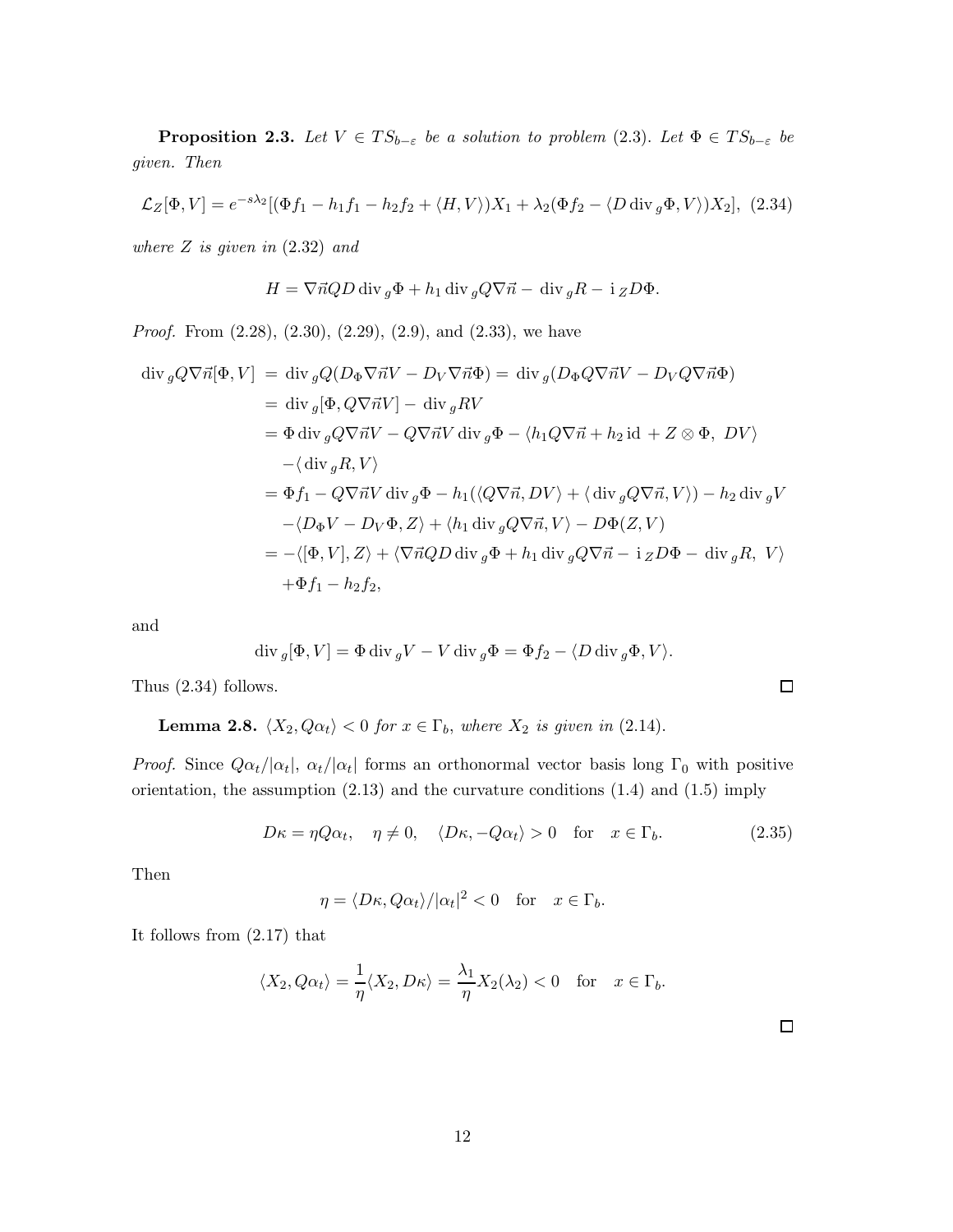**Proposition 2.3.** *Let*  $V \in TS_{b-\varepsilon}$  *be a solution to problem* (2.3). *Let*  $\Phi \in TS_{b-\varepsilon}$  *be given. Then*

$$
\mathcal{L}_Z[\Phi, V] = e^{-s\lambda_2} [(\Phi f_1 - h_1 f_1 - h_2 f_2 + \langle H, V \rangle) X_1 + \lambda_2 (\Phi f_2 - \langle D \operatorname{div}_g \Phi, V \rangle) X_2], \tag{2.34}
$$

*where* Z *is given in* (2.32) *and*

$$
H = \nabla \vec{n} Q D \operatorname{div} g \Phi + h_1 \operatorname{div} g Q \nabla \vec{n} - \operatorname{div} g R - i Z D \Phi.
$$

*Proof.* From (2.28), (2.30), (2.29), (2.9), and (2.33), we have

$$
\begin{split}\n\operatorname{div}_{g} Q \nabla \vec{n} [\Phi, V] &= \operatorname{div}_{g} Q (D_{\Phi} \nabla \vec{n} V - D_{V} \nabla \vec{n} \Phi) = \operatorname{div}_{g} (D_{\Phi} Q \nabla \vec{n} V - D_{V} Q \nabla \vec{n} \Phi) \\
&= \operatorname{div}_{g} [\Phi, Q \nabla \vec{n} V] - \operatorname{div}_{g} R V \\
&= \Phi \operatorname{div}_{g} Q \nabla \vec{n} V - Q \nabla \vec{n} V \operatorname{div}_{g} \Phi - \langle h_{1} Q \nabla \vec{n} + h_{2} \operatorname{id} + Z \otimes \Phi, \ D V \rangle \\
&- \langle \operatorname{div}_{g} R, V \rangle \\
&= \Phi f_{1} - Q \nabla \vec{n} V \operatorname{div}_{g} \Phi - h_{1} (\langle Q \nabla \vec{n}, D V \rangle + \langle \operatorname{div}_{g} Q \nabla \vec{n}, V \rangle) - h_{2} \operatorname{div}_{g} V \\
&- \langle D_{\Phi} V - D_{V} \Phi, Z \rangle + \langle h_{1} \operatorname{div}_{g} Q \nabla \vec{n}, V \rangle - D \Phi (Z, V) \\
&= - \langle [\Phi, V], Z \rangle + \langle \nabla \vec{n} Q D \operatorname{div}_{g} \Phi + h_{1} \operatorname{div}_{g} Q \nabla \vec{n} - \operatorname{i}_{Z} D \Phi - \operatorname{div}_{g} R, \ V \rangle \\
&+ \Phi f_{1} - h_{2} f_{2},\n\end{split}
$$

and

$$
\operatorname{div}_g[\Phi, V] = \Phi \operatorname{div}_g V - V \operatorname{div}_g \Phi = \Phi f_2 - \langle D \operatorname{div}_g \Phi, V \rangle.
$$

Thus (2.34) follows.

**Lemma 2.8.** 
$$
\langle X_2, Q\alpha_t \rangle < 0
$$
 for  $x \in \Gamma_b$ , where  $X_2$  is given in (2.14).

*Proof.* Since  $Q\alpha_t/|\alpha_t|$ ,  $\alpha_t/|\alpha_t|$  forms an orthonormal vector basis long  $\Gamma_0$  with positive orientation, the assumption (2.13) and the curvature conditions (1.4) and (1.5) imply

$$
D\kappa = \eta Q \alpha_t, \quad \eta \neq 0, \quad \langle D\kappa, -Q\alpha_t \rangle > 0 \quad \text{for} \quad x \in \Gamma_b. \tag{2.35}
$$

 $\Box$ 

 $\Box$ 

Then

$$
\eta = \langle D\kappa, Q\alpha_t \rangle / |\alpha_t|^2 < 0 \quad \text{for} \quad x \in \Gamma_b.
$$

It follows from (2.17) that

$$
\langle X_2, Q\alpha_t \rangle = \frac{1}{\eta} \langle X_2, D\kappa \rangle = \frac{\lambda_1}{\eta} X_2(\lambda_2) < 0
$$
 for  $x \in \Gamma_b$ .

12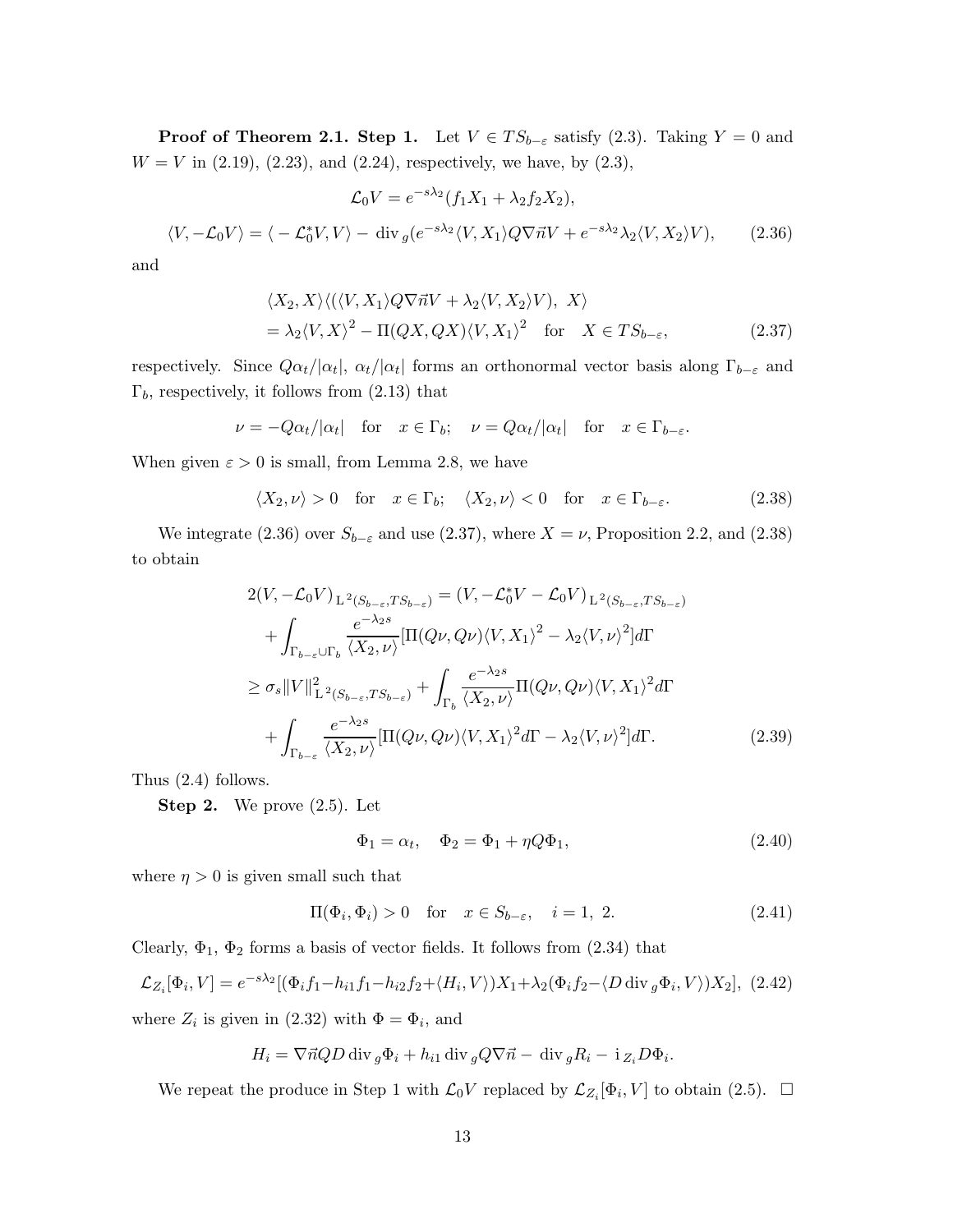**Proof of Theorem 2.1. Step 1.** Let  $V \in TS_{b-\varepsilon}$  satisfy (2.3). Taking  $Y = 0$  and  $W = V$  in (2.19), (2.23), and (2.24), respectively, we have, by (2.3),

$$
\mathcal{L}_0 V = e^{-s\lambda_2} (f_1 X_1 + \lambda_2 f_2 X_2),
$$

$$
\langle V, -\mathcal{L}_0 V \rangle = \langle -\mathcal{L}_0^* V, V \rangle - \text{div}_g (e^{-s\lambda_2} \langle V, X_1 \rangle Q \nabla \vec{n} V + e^{-s\lambda_2} \lambda_2 \langle V, X_2 \rangle V), \qquad (2.36)
$$

and

$$
\langle X_2, X \rangle \langle (\langle V, X_1 \rangle Q \nabla \vec{n} V + \lambda_2 \langle V, X_2 \rangle V), X \rangle
$$
  
=  $\lambda_2 \langle V, X \rangle^2 - \Pi (QX, QX) \langle V, X_1 \rangle^2$  for  $X \in TS_{b-\varepsilon}$ , (2.37)

respectively. Since  $Q\alpha_t/|\alpha_t|$ ,  $\alpha_t/|\alpha_t|$  forms an orthonormal vector basis along  $\Gamma_{b-\varepsilon}$  and  $\Gamma_b$ , respectively, it follows from  $(2.13)$  that

$$
\nu = -Q\alpha_t/|\alpha_t| \quad \text{for} \quad x \in \Gamma_b; \quad \nu = Q\alpha_t/|\alpha_t| \quad \text{for} \quad x \in \Gamma_{b-\varepsilon}.
$$

When given  $\varepsilon > 0$  is small, from Lemma 2.8, we have

$$
\langle X_2, \nu \rangle > 0 \quad \text{for} \quad x \in \Gamma_b; \quad \langle X_2, \nu \rangle < 0 \quad \text{for} \quad x \in \Gamma_{b-\varepsilon}.\tag{2.38}
$$

We integrate (2.36) over  $S_{b-\varepsilon}$  and use (2.37), where  $X = \nu$ , Proposition 2.2, and (2.38) to obtain

$$
2(V, -\mathcal{L}_0 V)_{L^2(S_{b-\varepsilon}, TS_{b-\varepsilon})} = (V, -\mathcal{L}_0^* V - \mathcal{L}_0 V)_{L^2(S_{b-\varepsilon}, TS_{b-\varepsilon})}
$$
  
+ 
$$
\int_{\Gamma_{b-\varepsilon} \cup \Gamma_b} \frac{e^{-\lambda_2 s}}{\langle X_2, \nu \rangle} [\Pi(Q\nu, Q\nu)\langle V, X_1 \rangle^2 - \lambda_2 \langle V, \nu \rangle^2] d\Gamma
$$
  

$$
\geq \sigma_s \|V\|_{L^2(S_{b-\varepsilon}, TS_{b-\varepsilon})}^2 + \int_{\Gamma_b} \frac{e^{-\lambda_2 s}}{\langle X_2, \nu \rangle} \Pi(Q\nu, Q\nu)\langle V, X_1 \rangle^2 d\Gamma
$$
  
+ 
$$
\int_{\Gamma_{b-\varepsilon}} \frac{e^{-\lambda_2 s}}{\langle X_2, \nu \rangle} [\Pi(Q\nu, Q\nu)\langle V, X_1 \rangle^2 d\Gamma - \lambda_2 \langle V, \nu \rangle^2] d\Gamma.
$$
 (2.39)

Thus (2.4) follows.

**Step 2.** We prove  $(2.5)$ . Let

$$
\Phi_1 = \alpha_t, \quad \Phi_2 = \Phi_1 + \eta Q \Phi_1,\tag{2.40}
$$

where  $\eta > 0$  is given small such that

$$
\Pi(\Phi_i, \Phi_i) > 0 \quad \text{for} \quad x \in S_{b-\varepsilon}, \quad i = 1, 2. \tag{2.41}
$$

Clearly,  $\Phi_1$ ,  $\Phi_2$  forms a basis of vector fields. It follows from (2.34) that

$$
\mathcal{L}_{Z_i}[\Phi_i, V] = e^{-s\lambda_2} [(\Phi_i f_1 - h_{i1} f_1 - h_{i2} f_2 + \langle H_i, V \rangle) X_1 + \lambda_2 (\Phi_i f_2 - \langle D \operatorname{div}_g \Phi_i, V \rangle) X_2], (2.42)
$$

where  $Z_i$  is given in (2.32) with  $\Phi = \Phi_i$ , and

$$
H_i = \nabla \vec{n} Q D \operatorname{div}_g \Phi_i + h_{i1} \operatorname{div}_g Q \nabla \vec{n} - \operatorname{div}_g R_i - i Z_i D \Phi_i.
$$

We repeat the produce in Step 1 with  $\mathcal{L}_0 V$  replaced by  $\mathcal{L}_{Z_i}[\Phi_i, V]$  to obtain (2.5).  $\Box$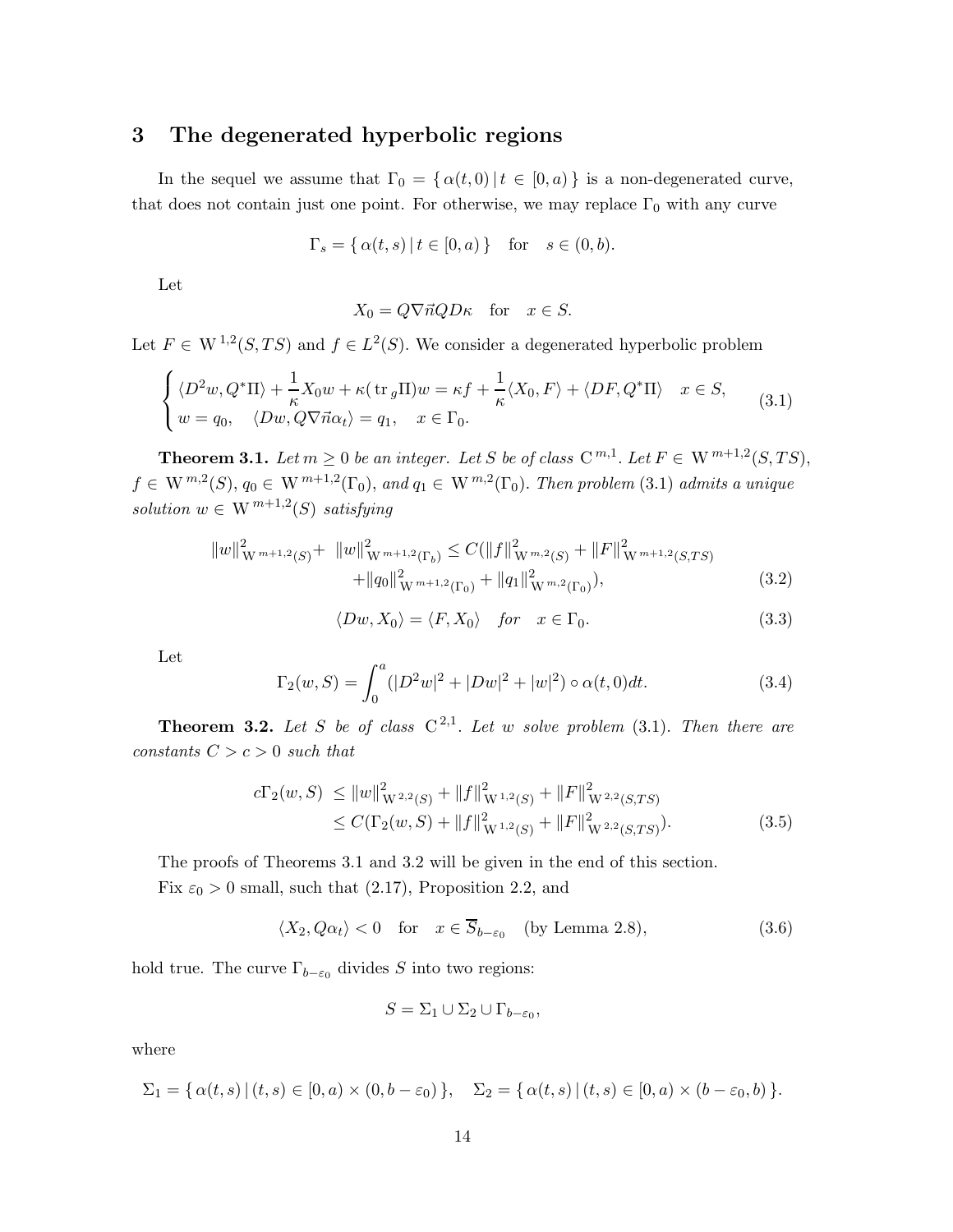# 3 The degenerated hyperbolic regions

In the sequel we assume that  $\Gamma_0 = {\alpha(t,0) | t \in [0,a)}$  is a non-degenerated curve, that does not contain just one point. For otherwise, we may replace  $\Gamma_0$  with any curve

$$
\Gamma_s = \{ \alpha(t, s) \mid t \in [0, a) \} \quad \text{for} \quad s \in (0, b).
$$

Let

$$
X_0 = Q \nabla \vec{n} Q D \kappa \quad \text{for} \quad x \in S.
$$

Let  $F \in W^{1,2}(S, TS)$  and  $f \in L^2(S)$ . We consider a degenerated hyperbolic problem

$$
\begin{cases} \langle D^2w, Q^*\Pi \rangle + \frac{1}{\kappa} X_0 w + \kappa (\text{tr}_g \Pi) w = \kappa f + \frac{1}{\kappa} \langle X_0, F \rangle + \langle DF, Q^*\Pi \rangle & x \in S, \\ w = q_0, \quad \langle Dw, Q\nabla \vec{n}\alpha_t \rangle = q_1, \quad x \in \Gamma_0. \end{cases}
$$
(3.1)

**Theorem 3.1.** *Let*  $m \geq 0$  *be an integer. Let*  $S$  *be of class*  $C^{m,1}$ *. Let*  $F \in W^{m+1,2}(S, TS)$ *,*  $f \in W^{m,2}(S), q_0 \in W^{m+1,2}(\Gamma_0), \text{ and } q_1 \in W^{m,2}(\Gamma_0). \text{ Then problem (3.1) admits a unique}$  $solution w \in W^{m+1,2}(S) satisfying$ 

$$
||w||_{W^{m+1,2}(S)}^2 + ||w||_{W^{m+1,2}(\Gamma_b)}^2 \leq C(||f||_{W^{m,2}(S)}^2 + ||F||_{W^{m+1,2}(S,TS)}^2 + ||q_0||_{W^{m+1,2}(\Gamma_0)}^2 + ||q_1||_{W^{m,2}(\Gamma_0)}^2),
$$
\n(3.2)

$$
\langle Dw, X_0 \rangle = \langle F, X_0 \rangle \quad \text{for} \quad x \in \Gamma_0. \tag{3.3}
$$

Let

$$
\Gamma_2(w, S) = \int_0^a (|D^2 w|^2 + |D w|^2 + |w|^2) \circ \alpha(t, 0) dt.
$$
 (3.4)

**Theorem 3.2.** Let S be of class  $C^{2,1}$ . Let w solve problem  $(3.1)$ . Then there are *constants*  $C > c > 0$  *such that* 

$$
c\Gamma_2(w, S) \le ||w||^2_{\mathcal{W}^{2,2}(S)} + ||f||^2_{\mathcal{W}^{1,2}(S)} + ||F||^2_{\mathcal{W}^{2,2}(S,TS)} \le C(\Gamma_2(w, S) + ||f||^2_{\mathcal{W}^{1,2}(S)} + ||F||^2_{\mathcal{W}^{2,2}(S,TS)}).
$$
\n(3.5)

The proofs of Theorems 3.1 and 3.2 will be given in the end of this section. Fix  $\varepsilon_0 > 0$  small, such that (2.17), Proposition 2.2, and

$$
\langle X_2, Q\alpha_t \rangle < 0 \quad \text{for} \quad x \in \overline{S}_{b-\varepsilon_0} \quad \text{(by Lemma 2.8)},\tag{3.6}
$$

hold true. The curve  $\Gamma_{b-\varepsilon_0}$  divides S into two regions:

$$
S = \Sigma_1 \cup \Sigma_2 \cup \Gamma_{b-\varepsilon_0},
$$

where

$$
\Sigma_1 = \{ \alpha(t,s) \, | \, (t,s) \in [0,a) \times (0,b-\varepsilon_0) \}, \quad \Sigma_2 = \{ \alpha(t,s) \, | \, (t,s) \in [0,a) \times (b-\varepsilon_0,b) \}.
$$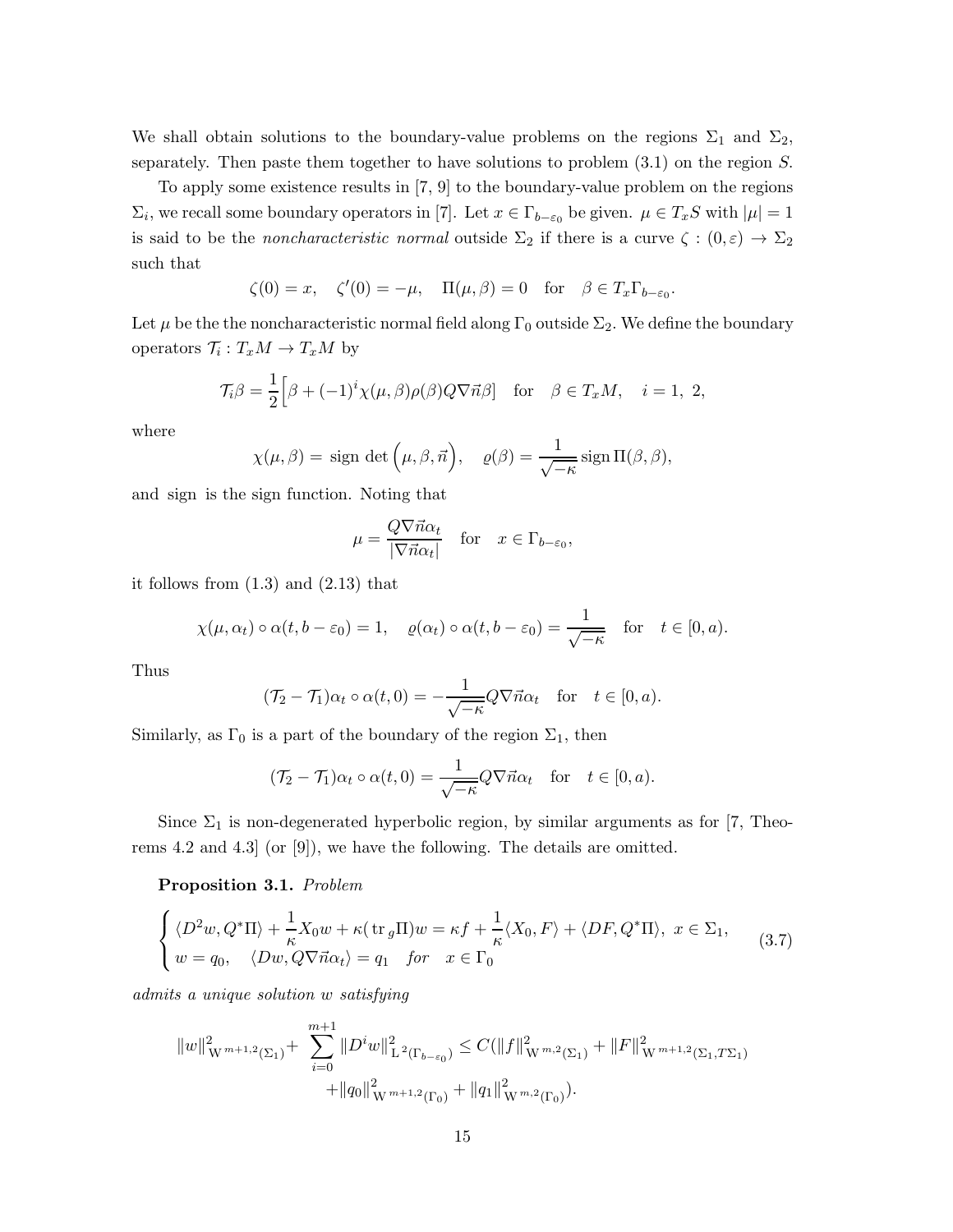We shall obtain solutions to the boundary-value problems on the regions  $\Sigma_1$  and  $\Sigma_2$ , separately. Then paste them together to have solutions to problem (3.1) on the region S.

To apply some existence results in [7, 9] to the boundary-value problem on the regions  $\Sigma_i$ , we recall some boundary operators in [7]. Let  $x \in \Gamma_{b-\varepsilon_0}$  be given.  $\mu \in T_xS$  with  $|\mu|=1$ is said to be the *noncharacteristic normal* outside  $\Sigma_2$  if there is a curve  $\zeta : (0, \varepsilon) \to \Sigma_2$ such that

$$
\zeta(0) = x, \quad \zeta'(0) = -\mu, \quad \Pi(\mu, \beta) = 0 \quad \text{for} \quad \beta \in T_x \Gamma_{b-\varepsilon_0}.
$$

Let  $\mu$  be the the noncharacteristic normal field along  $\Gamma_0$  outside  $\Sigma_2$ . We define the boundary operators  $\mathcal{T}_i: T_xM \to T_xM$  by

$$
\mathcal{T}_{i}\beta = \frac{1}{2} \Big[ \beta + (-1)^{i} \chi(\mu, \beta) \rho(\beta) Q \nabla \vec{n} \beta \Big] \quad \text{for} \quad \beta \in T_{x}M, \quad i = 1, 2,
$$

where

$$
\chi(\mu,\beta) = \text{sign det}(\mu,\beta,\vec{n}), \quad \varrho(\beta) = \frac{1}{\sqrt{-\kappa}} \text{sign } \Pi(\beta,\beta),
$$

and sign is the sign function. Noting that

$$
\mu = \frac{Q\nabla \vec{n}\alpha_t}{|\nabla \vec{n}\alpha_t|} \quad \text{for} \quad x \in \Gamma_{b-\varepsilon_0},
$$

it follows from (1.3) and (2.13) that

$$
\chi(\mu, \alpha_t) \circ \alpha(t, b - \varepsilon_0) = 1
$$
,  $\varrho(\alpha_t) \circ \alpha(t, b - \varepsilon_0) = \frac{1}{\sqrt{-\kappa}}$  for  $t \in [0, a)$ .

Thus

$$
(\mathcal{T}_2 - \mathcal{T}_1)\alpha_t \circ \alpha(t,0) = -\frac{1}{\sqrt{-\kappa}} Q \nabla \vec{n} \alpha_t \quad \text{for} \quad t \in [0, a).
$$

Similarly, as  $\Gamma_0$  is a part of the boundary of the region  $\Sigma_1$ , then

$$
(\mathcal{T}_2 - \mathcal{T}_1)\alpha_t \circ \alpha(t, 0) = \frac{1}{\sqrt{-\kappa}} Q \nabla \vec{n} \alpha_t \quad \text{for} \quad t \in [0, a).
$$

Since  $\Sigma_1$  is non-degenerated hyperbolic region, by similar arguments as for [7, Theorems 4.2 and 4.3] (or [9]), we have the following. The details are omitted.

#### Proposition 3.1. *Problem*

$$
\begin{cases} \langle D^2w, Q^*\Pi \rangle + \frac{1}{\kappa} X_0 w + \kappa (\text{tr}_g \Pi) w = \kappa f + \frac{1}{\kappa} \langle X_0, F \rangle + \langle DF, Q^*\Pi \rangle, \ x \in \Sigma_1, \\ w = q_0, \quad \langle Dw, Q\nabla \vec{n}\alpha_t \rangle = q_1 \quad \text{for} \quad x \in \Gamma_0 \end{cases} \tag{3.7}
$$

*admits a unique solution* w *satisfying*

$$
||w||_{\mathcal{W}^{m+1,2}(\Sigma_1)}^2 + \sum_{i=0}^{m+1} ||D^i w||_{\mathcal{L}^2(\Gamma_{b-\varepsilon_0})}^2 \leq C(||f||_{\mathcal{W}^{m,2}(\Sigma_1)}^2 + ||F||_{\mathcal{W}^{m+1,2}(\Sigma_1, T\Sigma_1)}^2 + ||q_0||_{\mathcal{W}^{m+1,2}(\Gamma_0)}^2 + ||q_1||_{\mathcal{W}^{m,2}(\Gamma_0)}^2).
$$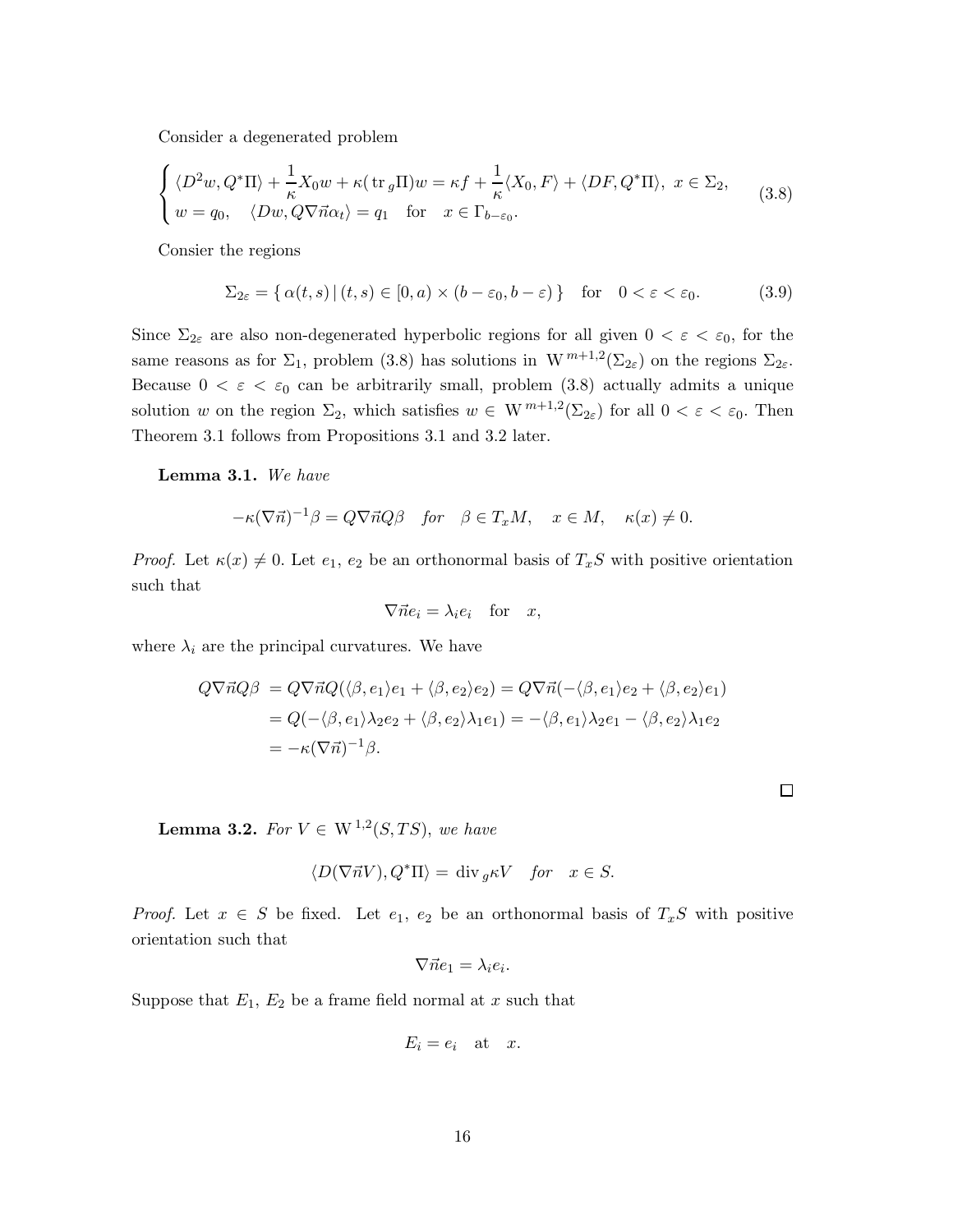Consider a degenerated problem

$$
\begin{cases} \langle D^2w, Q^*\Pi \rangle + \frac{1}{\kappa} X_0 w + \kappa (\text{tr}_g \Pi) w = \kappa f + \frac{1}{\kappa} \langle X_0, F \rangle + \langle DF, Q^*\Pi \rangle, \ x \in \Sigma_2, \\ w = q_0, \quad \langle Dw, Q\nabla \vec{n} \alpha_t \rangle = q_1 \quad \text{for} \quad x \in \Gamma_{b-\varepsilon_0}. \end{cases}
$$
(3.8)

Consier the regions

$$
\Sigma_{2\varepsilon} = \{ \alpha(t,s) \, | \, (t,s) \in [0,a) \times (b - \varepsilon_0, b - \varepsilon) \} \quad \text{for} \quad 0 < \varepsilon < \varepsilon_0. \tag{3.9}
$$

Since  $\Sigma_{2\varepsilon}$  are also non-degenerated hyperbolic regions for all given  $0 < \varepsilon < \varepsilon_0$ , for the same reasons as for  $\Sigma_1$ , problem (3.8) has solutions in  $W^{m+1,2}(\Sigma_{2\varepsilon})$  on the regions  $\Sigma_{2\varepsilon}$ . Because  $0 < \varepsilon < \varepsilon_0$  can be arbitrarily small, problem (3.8) actually admits a unique solution w on the region  $\Sigma_2$ , which satisfies  $w \in W^{m+1,2}(\Sigma_{2\varepsilon})$  for all  $0 < \varepsilon < \varepsilon_0$ . Then Theorem 3.1 follows from Propositions 3.1 and 3.2 later.

Lemma 3.1. *We have*

$$
-\kappa(\nabla \vec{n})^{-1}\beta = Q\nabla \vec{n}Q\beta \quad \text{for} \quad \beta \in T_xM, \quad x \in M, \quad \kappa(x) \neq 0.
$$

*Proof.* Let  $\kappa(x) \neq 0$ . Let  $e_1, e_2$  be an orthonormal basis of  $T_xS$  with positive orientation such that

$$
\nabla \vec{n} e_i = \lambda_i e_i \quad \text{for} \quad x,
$$

where  $\lambda_i$  are the principal curvatures. We have

$$
Q\nabla \vec{n}Q\beta = Q\nabla \vec{n}Q(\langle \beta, e_1 \rangle e_1 + \langle \beta, e_2 \rangle e_2) = Q\nabla \vec{n}(-\langle \beta, e_1 \rangle e_2 + \langle \beta, e_2 \rangle e_1)
$$
  
=  $Q(-\langle \beta, e_1 \rangle \lambda_2 e_2 + \langle \beta, e_2 \rangle \lambda_1 e_1) = -\langle \beta, e_1 \rangle \lambda_2 e_1 - \langle \beta, e_2 \rangle \lambda_1 e_2$   
=  $-\kappa(\nabla \vec{n})^{-1}\beta$ .

 $\Box$ 

**Lemma 3.2.** *For*  $V \in W^{1,2}(S, TS)$ , *we have* 

$$
\langle D(\nabla \vec{n} V), Q^*\Pi\rangle = \text{ div}_g \kappa V \quad \text{for} \quad x \in S.
$$

*Proof.* Let  $x \in S$  be fixed. Let  $e_1, e_2$  be an orthonormal basis of  $T_xS$  with positive orientation such that

$$
\nabla \vec{n} e_1 = \lambda_i e_i.
$$

Suppose that  $E_1, E_2$  be a frame field normal at x such that

$$
E_i = e_i \quad \text{at} \quad x.
$$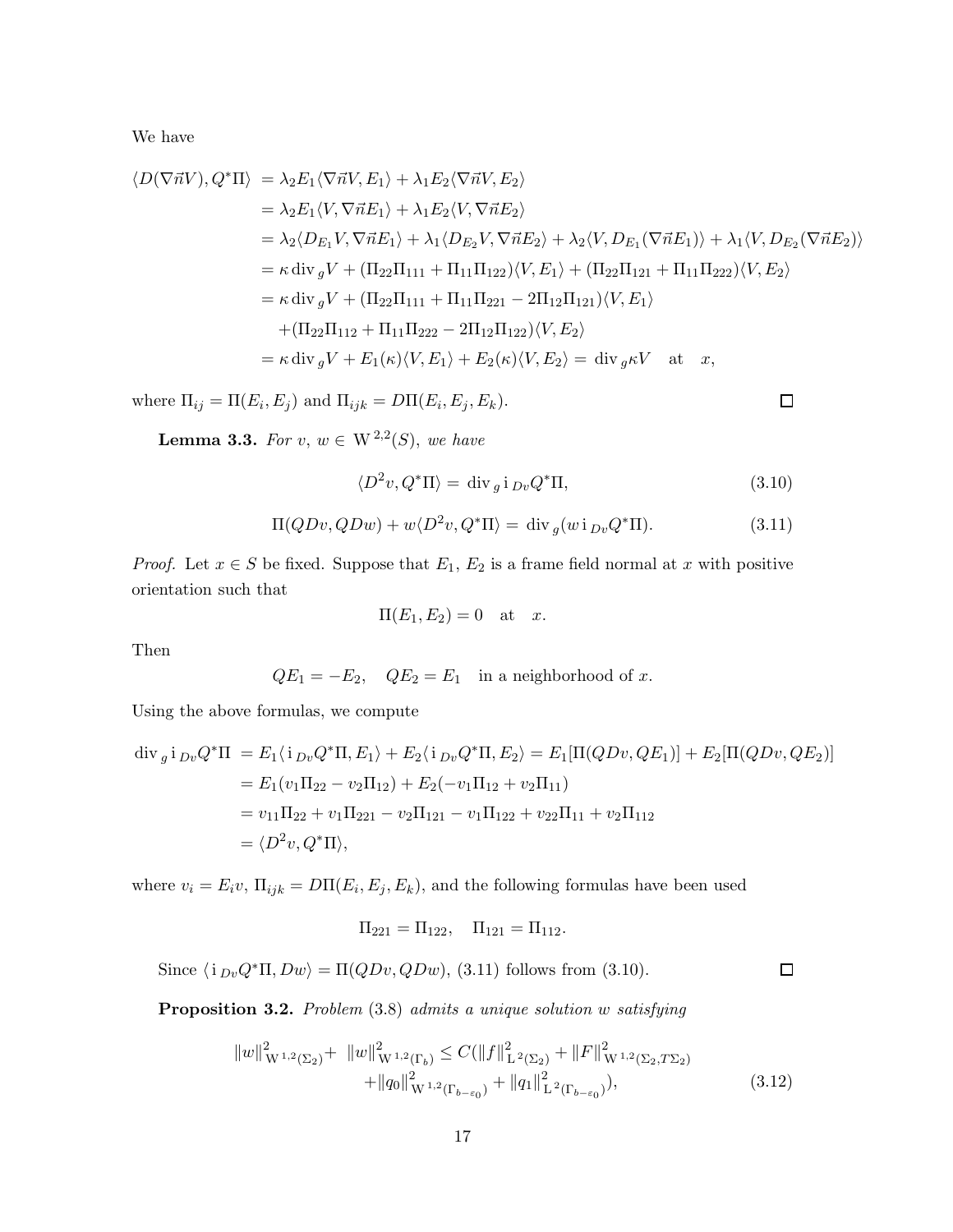We have

$$
\langle D(\nabla \vec{n}V), Q^* \Pi \rangle = \lambda_2 E_1 \langle \nabla \vec{n}V, E_1 \rangle + \lambda_1 E_2 \langle \nabla \vec{n}V, E_2 \rangle
$$
  
\n
$$
= \lambda_2 E_1 \langle V, \nabla \vec{n}E_1 \rangle + \lambda_1 E_2 \langle V, \nabla \vec{n}E_2 \rangle
$$
  
\n
$$
= \lambda_2 \langle D_{E_1}V, \nabla \vec{n}E_1 \rangle + \lambda_1 \langle D_{E_2}V, \nabla \vec{n}E_2 \rangle + \lambda_2 \langle V, D_{E_1}(\nabla \vec{n}E_1) \rangle + \lambda_1 \langle V, D_{E_2}(\nabla \vec{n}E_2) \rangle
$$
  
\n
$$
= \kappa \operatorname{div}_g V + (\Pi_{22} \Pi_{111} + \Pi_{11} \Pi_{122}) \langle V, E_1 \rangle + (\Pi_{22} \Pi_{121} + \Pi_{11} \Pi_{222}) \langle V, E_2 \rangle
$$
  
\n
$$
= \kappa \operatorname{div}_g V + (\Pi_{22} \Pi_{111} + \Pi_{11} \Pi_{221} - 2\Pi_{12} \Pi_{121}) \langle V, E_1 \rangle
$$
  
\n
$$
+ (\Pi_{22} \Pi_{112} + \Pi_{11} \Pi_{222} - 2\Pi_{12} \Pi_{122}) \langle V, E_2 \rangle
$$
  
\n
$$
= \kappa \operatorname{div}_g V + E_1(\kappa) \langle V, E_1 \rangle + E_2(\kappa) \langle V, E_2 \rangle = \operatorname{div}_g \kappa V \text{ at } x,
$$

where  $\Pi_{ij} = \Pi(E_i, E_j)$  and  $\Pi_{ijk} = D\Pi(E_i, E_j, E_k)$ .

**Lemma 3.3.** *For*  $v, w \in W^{2,2}(S)$ *, we have* 

$$
\langle D^2 v, Q^* \Pi \rangle = \text{div}_g \, \mathbf{i}_{Dv} Q^* \Pi,\tag{3.10}
$$

$$
\Pi(QDv, QDw) + w\langle D^2v, Q^*\Pi \rangle = \text{div}_g(wi_{Dv}Q^*\Pi). \tag{3.11}
$$

*Proof.* Let  $x \in S$  be fixed. Suppose that  $E_1$ ,  $E_2$  is a frame field normal at x with positive orientation such that

$$
\Pi(E_1, E_2) = 0 \quad \text{at} \quad x.
$$

Then

$$
QE_1 = -E_2, \quad QE_2 = E_1 \text{ in a neighborhood of } x.
$$

Using the above formulas, we compute

$$
\begin{split} \operatorname{div}_{g} \mathbf{i}_{Dv} Q^{*} \Pi &= E_{1} \langle \mathbf{i}_{Dv} Q^{*} \Pi, E_{1} \rangle + E_{2} \langle \mathbf{i}_{Dv} Q^{*} \Pi, E_{2} \rangle = E_{1} [\Pi (QDv, QE_{1})] + E_{2} [\Pi (QDv, QE_{2})] \\ &= E_{1}(v_{1} \Pi_{22} - v_{2} \Pi_{12}) + E_{2}(-v_{1} \Pi_{12} + v_{2} \Pi_{11}) \\ &= v_{11} \Pi_{22} + v_{1} \Pi_{221} - v_{2} \Pi_{121} - v_{1} \Pi_{122} + v_{22} \Pi_{11} + v_{2} \Pi_{112} \\ &= \langle D^{2}v, Q^{*} \Pi \rangle, \end{split}
$$

where  $v_i = E_i v$ ,  $\Pi_{ijk} = D\Pi(E_i, E_j, E_k)$ , and the following formulas have been used

$$
\Pi_{221}=\Pi_{122},\quad \Pi_{121}=\Pi_{112}.
$$

Since  $\langle i_{Dv}Q^*\Pi, Dw \rangle = \Pi(QDv, QDw)$ , (3.11) follows from (3.10).

 $\Box$ 

 $\Box$ 

Proposition 3.2. *Problem* (3.8) *admits a unique solution* w *satisfying*

$$
||w||_{\mathcal{W}^{1,2}(\Sigma_2)}^2 + ||w||_{\mathcal{W}^{1,2}(\Gamma_b)}^2 \le C(||f||_{\mathcal{L}^2(\Sigma_2)}^2 + ||F||_{\mathcal{W}^{1,2}(\Sigma_2, T\Sigma_2)}^2 + ||q_0||_{\mathcal{W}^{1,2}(\Gamma_{b-\varepsilon_0})}^2 + ||q_1||_{\mathcal{L}^2(\Gamma_{b-\varepsilon_0})}^2),
$$
\n(3.12)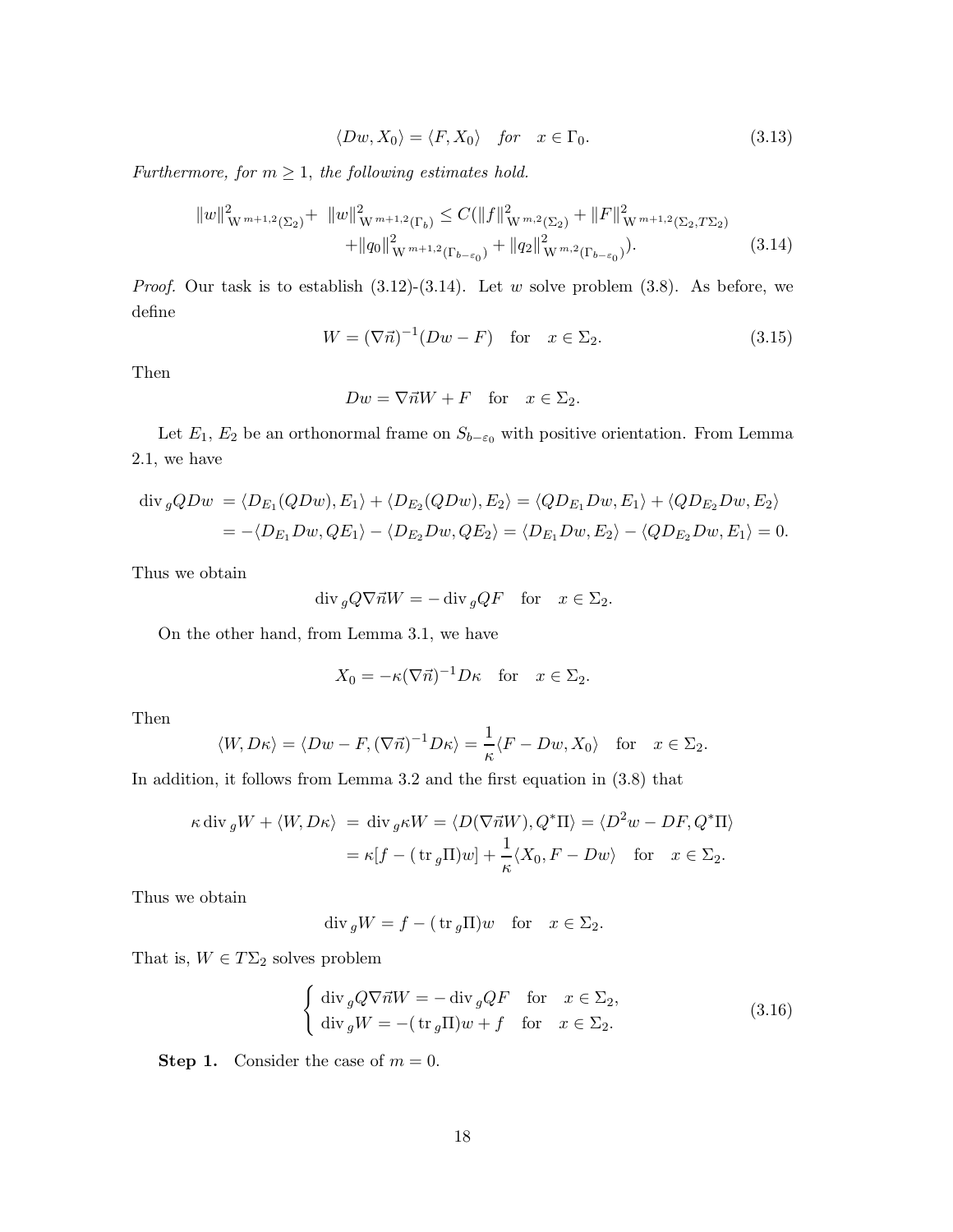$$
\langle Dw, X_0 \rangle = \langle F, X_0 \rangle \quad \text{for} \quad x \in \Gamma_0. \tag{3.13}
$$

*Furthermore, for*  $m \geq 1$ *, the following estimates hold.* 

$$
||w||_{\mathcal{W}^{m+1,2}(\Sigma_2)}^2 + ||w||_{\mathcal{W}^{m+1,2}(\Gamma_b)}^2 \le C(||f||_{\mathcal{W}^{m,2}(\Sigma_2)}^2 + ||F||_{\mathcal{W}^{m+1,2}(\Sigma_2, T\Sigma_2)}^2 + ||q_0||_{\mathcal{W}^{m+1,2}(\Gamma_{b-\varepsilon_0})}^2 + ||q_2||_{\mathcal{W}^{m,2}(\Gamma_{b-\varepsilon_0})}^2).
$$
\n(3.14)

*Proof.* Our task is to establish  $(3.12)-(3.14)$ . Let w solve problem  $(3.8)$ . As before, we define

$$
W = (\nabla \vec{n})^{-1} (Dw - F) \quad \text{for} \quad x \in \Sigma_2. \tag{3.15}
$$

Then

$$
Dw = \nabla \vec{n}W + F \quad \text{for} \quad x \in \Sigma_2.
$$

Let  $E_1, E_2$  be an orthonormal frame on  $S_{b-\varepsilon_0}$  with positive orientation. From Lemma 2.1, we have

$$
\begin{aligned} \operatorname{div}_g QDw &= \langle D_{E_1}(QDw), E_1 \rangle + \langle D_{E_2}(QDw), E_2 \rangle = \langle QD_{E_1}Dw, E_1 \rangle + \langle QD_{E_2}Dw, E_2 \rangle \\ &= -\langle D_{E_1}Dw, QE_1 \rangle - \langle D_{E_2}Dw, QE_2 \rangle = \langle D_{E_1}Dw, E_2 \rangle - \langle QD_{E_2}Dw, E_1 \rangle = 0. \end{aligned}
$$

Thus we obtain

$$
\operatorname{div}_g Q \nabla \vec{n} W = -\operatorname{div}_g Q F \quad \text{for} \quad x \in \Sigma_2.
$$

On the other hand, from Lemma 3.1, we have

$$
X_0 = -\kappa (\nabla \vec{n})^{-1} D\kappa \quad \text{for} \quad x \in \Sigma_2.
$$

Then

$$
\langle W, D\kappa \rangle = \langle Dw - F, (\nabla \vec{n})^{-1} D\kappa \rangle = \frac{1}{\kappa} \langle F - Dw, X_0 \rangle
$$
 for  $x \in \Sigma_2$ .

In addition, it follows from Lemma 3.2 and the first equation in (3.8) that

$$
\kappa \operatorname{div}_g W + \langle W, D\kappa \rangle = \operatorname{div}_g \kappa W = \langle D(\nabla \vec{n}W), Q^* \Pi \rangle = \langle D^2 w - DF, Q^* \Pi \rangle
$$
  
=  $\kappa [f - (\operatorname{tr}_g \Pi)w] + \frac{1}{\kappa} \langle X_0, F - Dw \rangle$  for  $x \in \Sigma_2$ .

Thus we obtain

$$
\operatorname{div}_g W = f - (\operatorname{tr}_g \Pi) w \quad \text{for} \quad x \in \Sigma_2.
$$

That is,  $W \in T\Sigma_2$  solves problem

$$
\begin{cases} \operatorname{div}_{g} Q \nabla \vec{n} W = - \operatorname{div}_{g} Q F & \text{for} \quad x \in \Sigma_{2}, \\ \operatorname{div}_{g} W = -(\operatorname{tr}_{g} \Pi) w + f & \text{for} \quad x \in \Sigma_{2}. \end{cases}
$$
(3.16)

**Step 1.** Consider the case of  $m = 0$ .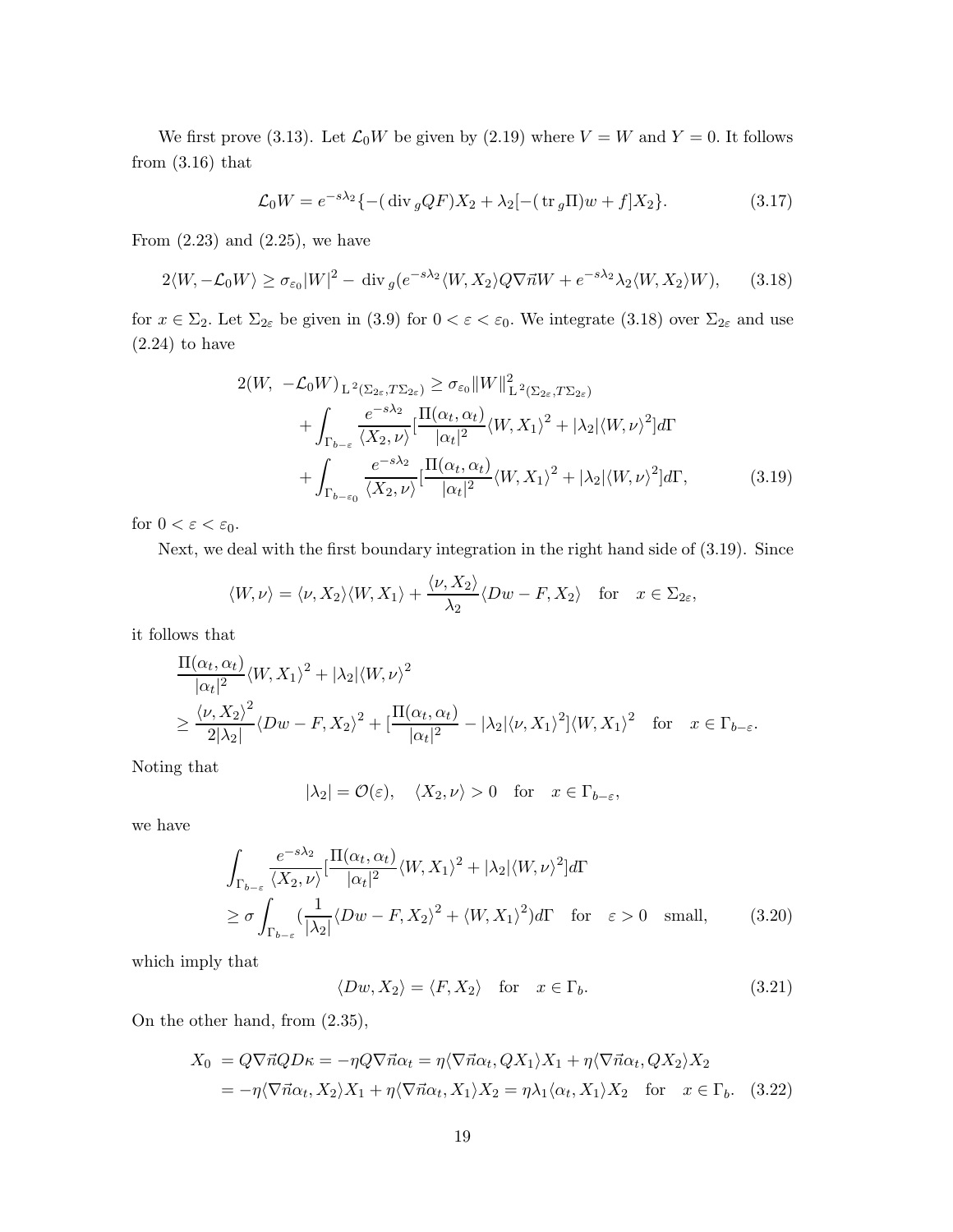We first prove (3.13). Let  $\mathcal{L}_0 W$  be given by (2.19) where  $V = W$  and  $Y = 0$ . It follows from  $(3.16)$  that

$$
\mathcal{L}_0 W = e^{-s\lambda_2} \{ -(\text{div}_g QF)X_2 + \lambda_2 [-(\text{tr}_g \Pi)w + f]X_2 \}. \tag{3.17}
$$

From  $(2.23)$  and  $(2.25)$ , we have

$$
2\langle W, -\mathcal{L}_0 W \rangle \ge \sigma_{\varepsilon_0} |W|^2 - \text{div}_g (e^{-s\lambda_2} \langle W, X_2 \rangle Q \nabla \vec{n} W + e^{-s\lambda_2} \lambda_2 \langle W, X_2 \rangle W), \qquad (3.18)
$$

for  $x \in \Sigma_2$ . Let  $\Sigma_{2\varepsilon}$  be given in (3.9) for  $0 < \varepsilon < \varepsilon_0$ . We integrate (3.18) over  $\Sigma_{2\varepsilon}$  and use  $(2.24)$  to have

$$
2(W, -\mathcal{L}_0 W)_{L^2(\Sigma_{2\varepsilon}, T\Sigma_{2\varepsilon})} \ge \sigma_{\varepsilon_0} \|W\|_{L^2(\Sigma_{2\varepsilon}, T\Sigma_{2\varepsilon})}^2 + \int_{\Gamma_{b-\varepsilon}} \frac{e^{-s\lambda_2}}{\langle X_2, \nu \rangle} [\frac{\Pi(\alpha_t, \alpha_t)}{|\alpha_t|^2} \langle W, X_1 \rangle^2 + |\lambda_2| \langle W, \nu \rangle^2] d\Gamma + \int_{\Gamma_{b-\varepsilon_0}} \frac{e^{-s\lambda_2}}{\langle X_2, \nu \rangle} [\frac{\Pi(\alpha_t, \alpha_t)}{|\alpha_t|^2} \langle W, X_1 \rangle^2 + |\lambda_2| \langle W, \nu \rangle^2] d\Gamma,
$$
(3.19)

for  $0 < \varepsilon < \varepsilon_0$ .

Next, we deal with the first boundary integration in the right hand side of (3.19). Since

$$
\langle W, \nu \rangle = \langle \nu, X_2 \rangle \langle W, X_1 \rangle + \frac{\langle \nu, X_2 \rangle}{\lambda_2} \langle Dw - F, X_2 \rangle \quad \text{for} \quad x \in \Sigma_{2\varepsilon},
$$

it follows that

$$
\frac{\Pi(\alpha_t, \alpha_t)}{|\alpha_t|^2} \langle W, X_1 \rangle^2 + |\lambda_2| \langle W, \nu \rangle^2
$$
  
\n
$$
\geq \frac{\langle \nu, X_2 \rangle^2}{2|\lambda_2|} \langle Dw - F, X_2 \rangle^2 + \left[ \frac{\Pi(\alpha_t, \alpha_t)}{|\alpha_t|^2} - |\lambda_2| \langle \nu, X_1 \rangle^2 \right] \langle W, X_1 \rangle^2 \quad \text{for} \quad x \in \Gamma_{b-\varepsilon}.
$$

Noting that

$$
|\lambda_2| = \mathcal{O}(\varepsilon), \quad \langle X_2, \nu \rangle > 0 \quad \text{for} \quad x \in \Gamma_{b-\varepsilon},
$$

we have

$$
\int_{\Gamma_{b-\varepsilon}} \frac{e^{-s\lambda_2}}{\langle X_2, \nu \rangle} \left[ \frac{\Pi(\alpha_t, \alpha_t)}{|\alpha_t|^2} \langle W, X_1 \rangle^2 + |\lambda_2| \langle W, \nu \rangle^2 \right] d\Gamma
$$
\n
$$
\geq \sigma \int_{\Gamma_{b-\varepsilon}} \left( \frac{1}{|\lambda_2|} \langle Dw - F, X_2 \rangle^2 + \langle W, X_1 \rangle^2 \right) d\Gamma \quad \text{for} \quad \varepsilon > 0 \quad \text{small}, \tag{3.20}
$$

which imply that

$$
\langle Dw, X_2 \rangle = \langle F, X_2 \rangle \quad \text{for} \quad x \in \Gamma_b. \tag{3.21}
$$

On the other hand, from (2.35),

$$
X_0 = Q\nabla \vec{n}QD\kappa = -\eta Q\nabla \vec{n}\alpha_t = \eta \langle \nabla \vec{n}\alpha_t, QX_1 \rangle X_1 + \eta \langle \nabla \vec{n}\alpha_t, QX_2 \rangle X_2
$$
  
=  $-\eta \langle \nabla \vec{n}\alpha_t, X_2 \rangle X_1 + \eta \langle \nabla \vec{n}\alpha_t, X_1 \rangle X_2 = \eta \lambda_1 \langle \alpha_t, X_1 \rangle X_2 \text{ for } x \in \Gamma_b.$  (3.22)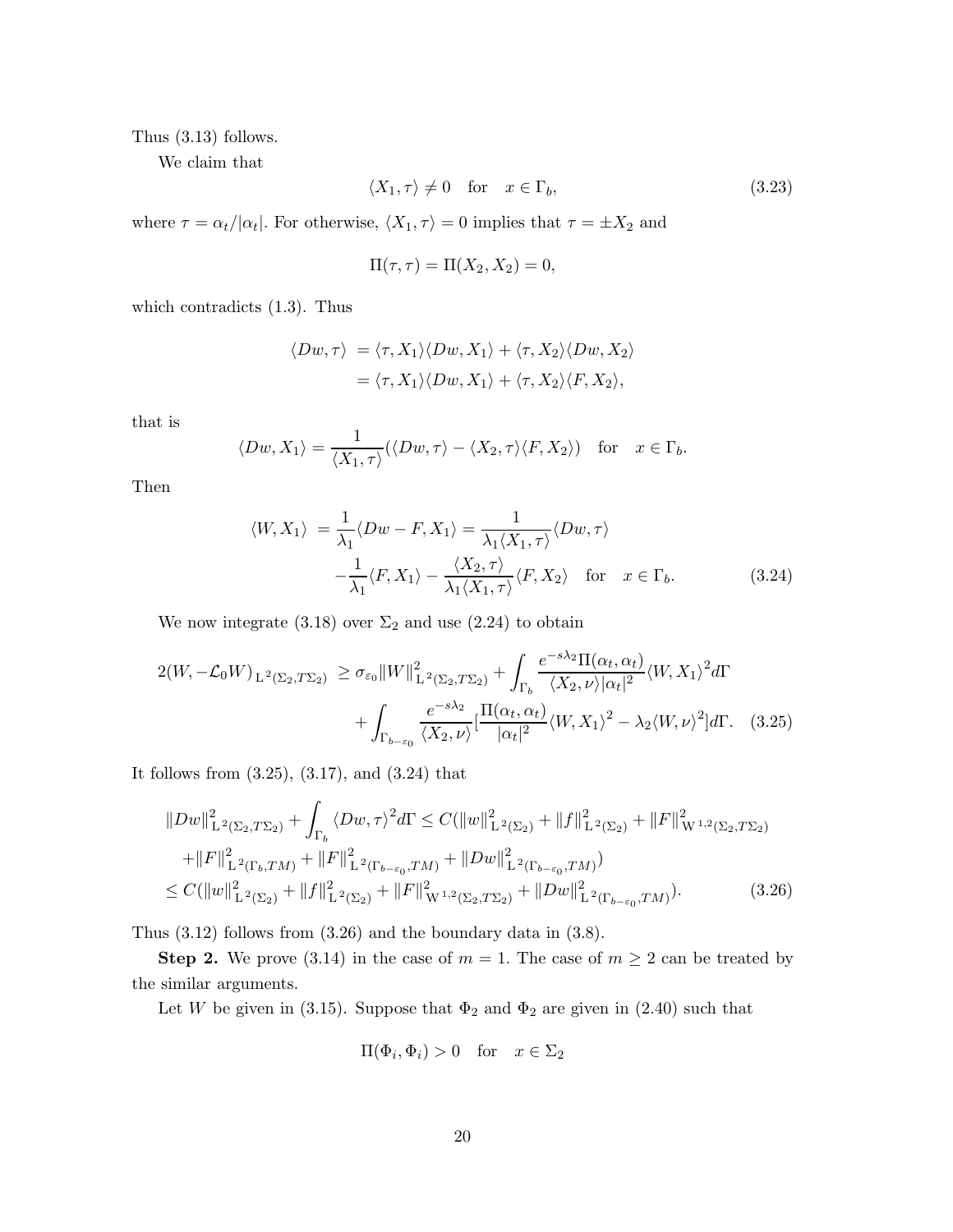Thus (3.13) follows.

We claim that

$$
\langle X_1, \tau \rangle \neq 0 \quad \text{for} \quad x \in \Gamma_b,
$$
\n
$$
(3.23)
$$

where  $\tau = \alpha_t / |\alpha_t|$ . For otherwise,  $\langle X_1, \tau \rangle = 0$  implies that  $\tau = \pm X_2$  and

$$
\Pi(\tau,\tau) = \Pi(X_2,X_2) = 0,
$$

which contradicts (1.3). Thus

$$
\langle Dw, \tau \rangle = \langle \tau, X_1 \rangle \langle Dw, X_1 \rangle + \langle \tau, X_2 \rangle \langle Dw, X_2 \rangle
$$
  
=  $\langle \tau, X_1 \rangle \langle Dw, X_1 \rangle + \langle \tau, X_2 \rangle \langle F, X_2 \rangle,$ 

that is

$$
\langle Dw, X_1 \rangle = \frac{1}{\langle X_1, \tau \rangle} (\langle Dw, \tau \rangle - \langle X_2, \tau \rangle \langle F, X_2 \rangle) \text{ for } x \in \Gamma_b.
$$

Then

$$
\langle W, X_1 \rangle = \frac{1}{\lambda_1} \langle Dw - F, X_1 \rangle = \frac{1}{\lambda_1 \langle X_1, \tau \rangle} \langle Dw, \tau \rangle
$$

$$
-\frac{1}{\lambda_1} \langle F, X_1 \rangle - \frac{\langle X_2, \tau \rangle}{\lambda_1 \langle X_1, \tau \rangle} \langle F, X_2 \rangle \quad \text{for} \quad x \in \Gamma_b.
$$
(3.24)

We now integrate (3.18) over  $\Sigma_2$  and use (2.24) to obtain

$$
2(W, -\mathcal{L}_0 W)_{L^2(\Sigma_2, T\Sigma_2)} \ge \sigma_{\varepsilon_0} \|W\|_{L^2(\Sigma_2, T\Sigma_2)}^2 + \int_{\Gamma_b} \frac{e^{-s\lambda_2} \Pi(\alpha_t, \alpha_t)}{\langle X_2, \nu \rangle |\alpha_t|^2} \langle W, X_1 \rangle^2 d\Gamma + \int_{\Gamma_{b-\varepsilon_0}} \frac{e^{-s\lambda_2}}{\langle X_2, \nu \rangle} \left[ \frac{\Pi(\alpha_t, \alpha_t)}{|\alpha_t|^2} \langle W, X_1 \rangle^2 - \lambda_2 \langle W, \nu \rangle^2 \right] d\Gamma. \tag{3.25}
$$

It follows from (3.25), (3.17), and (3.24) that

$$
||Dw||_{\mathcal{L}^{2}(\Sigma_{2},T\Sigma_{2})}^{2} + \int_{\Gamma_{b}} \langle Dw,\tau\rangle^{2} d\Gamma \leq C(||w||_{\mathcal{L}^{2}(\Sigma_{2})}^{2} + ||f||_{\mathcal{L}^{2}(\Sigma_{2})}^{2} + ||F||_{\mathcal{W}^{1,2}(\Sigma_{2},T\Sigma_{2})}^{2}
$$
  
+ 
$$
||F||_{\mathcal{L}^{2}(\Gamma_{b},TM)}^{2} + ||F||_{\mathcal{L}^{2}(\Gamma_{b-\varepsilon_{0}},TM)}^{2} + ||Dw||_{\mathcal{L}^{2}(\Gamma_{b-\varepsilon_{0}},TM)}^{2})
$$
  

$$
\leq C(||w||_{\mathcal{L}^{2}(\Sigma_{2})}^{2} + ||f||_{\mathcal{L}^{2}(\Sigma_{2})}^{2} + ||F||_{\mathcal{W}^{1,2}(\Sigma_{2},T\Sigma_{2})}^{2} + ||Dw||_{\mathcal{L}^{2}(\Gamma_{b-\varepsilon_{0}},TM)}^{2}).
$$
 (3.26)

Thus (3.12) follows from (3.26) and the boundary data in (3.8).

**Step 2.** We prove (3.14) in the case of  $m = 1$ . The case of  $m \geq 2$  can be treated by the similar arguments.

Let W be given in (3.15). Suppose that  $\Phi_2$  and  $\Phi_2$  are given in (2.40) such that

$$
\Pi(\Phi_i, \Phi_i) > 0 \quad \text{for} \quad x \in \Sigma_2
$$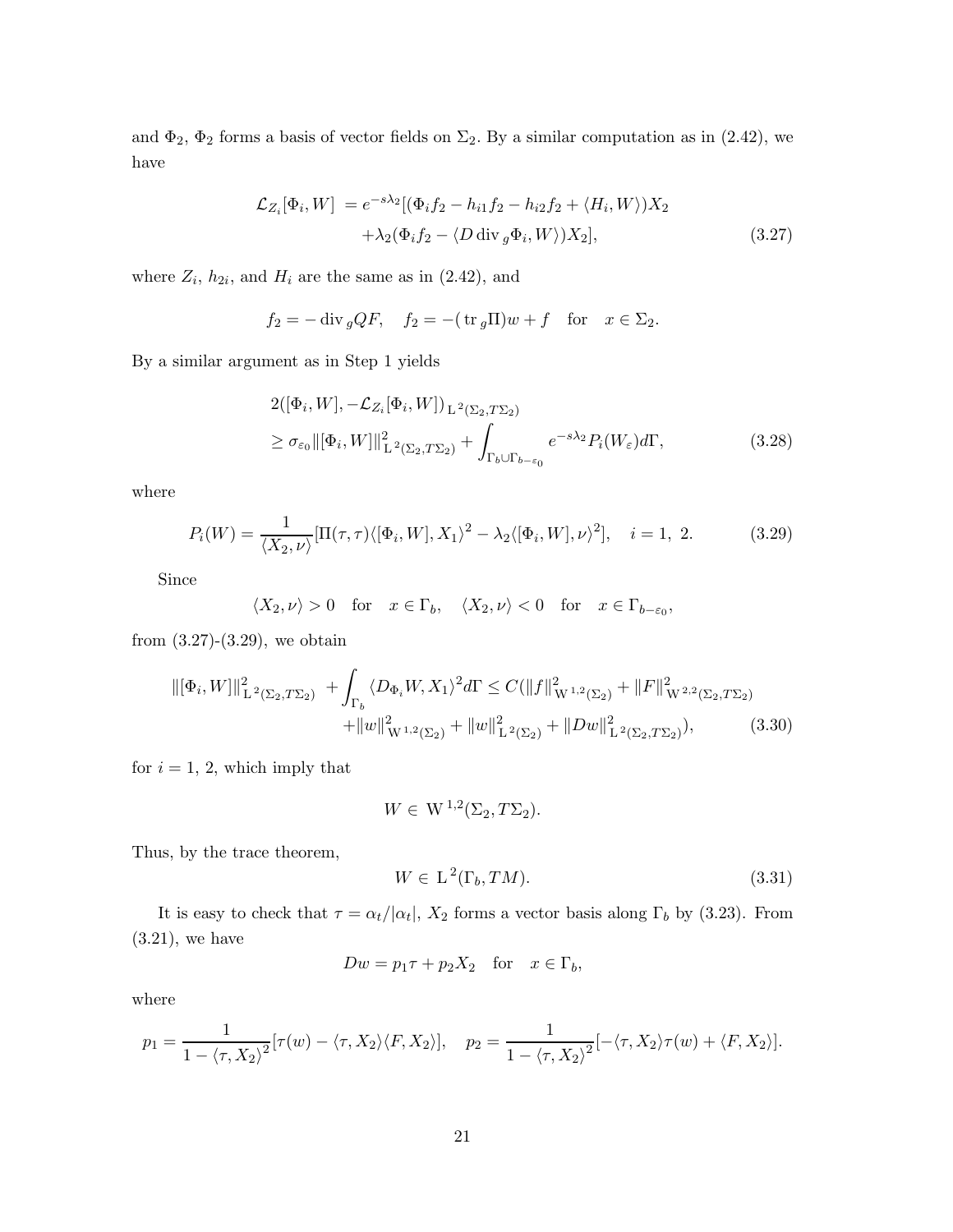and  $\Phi_2$ ,  $\Phi_2$  forms a basis of vector fields on  $\Sigma_2$ . By a similar computation as in (2.42), we have

$$
\mathcal{L}_{Z_i}[\Phi_i, W] = e^{-s\lambda_2} [(\Phi_i f_2 - h_{i1} f_2 - h_{i2} f_2 + \langle H_i, W \rangle) X_2
$$
  
 
$$
+ \lambda_2 (\Phi_i f_2 - \langle D \operatorname{div}_g \Phi_i, W \rangle) X_2], \qquad (3.27)
$$

where  $Z_i$ ,  $h_{2i}$ , and  $H_i$  are the same as in (2.42), and

$$
f_2 = -\operatorname{div}_g QF
$$
,  $f_2 = -(\operatorname{tr}_g \Pi)w + f$  for  $x \in \Sigma_2$ .

By a similar argument as in Step 1 yields

$$
2([\Phi_i, W], -\mathcal{L}_{Z_i}[\Phi_i, W])_{L^2(\Sigma_2, T\Sigma_2)}
$$
  
\n
$$
\geq \sigma_{\varepsilon_0} ||[\Phi_i, W]||_{L^2(\Sigma_2, T\Sigma_2)}^2 + \int_{\Gamma_b \cup \Gamma_{b-\varepsilon_0}} e^{-s\lambda_2} P_i(W_{\varepsilon}) d\Gamma,
$$
\n(3.28)

where

$$
P_i(W) = \frac{1}{\langle X_2, \nu \rangle} [\Pi(\tau, \tau) \langle [\Phi_i, W], X_1 \rangle^2 - \lambda_2 \langle [\Phi_i, W], \nu \rangle^2], \quad i = 1, 2. \tag{3.29}
$$

Since

$$
\langle X_2, \nu \rangle > 0
$$
 for  $x \in \Gamma_b$ ,  $\langle X_2, \nu \rangle < 0$  for  $x \in \Gamma_{b-\varepsilon_0}$ ,

from  $(3.27)-(3.29)$ , we obtain

$$
\|[\Phi_i, W]\|_{\mathcal{L}^2(\Sigma_2, T\Sigma_2)}^2 + \int_{\Gamma_b} \langle D_{\Phi_i} W, X_1 \rangle^2 d\Gamma \le C (\|f\|_{W^{1,2}(\Sigma_2)}^2 + \|F\|_{W^{2,2}(\Sigma_2, T\Sigma_2)}^2 + \|w\|_{W^{1,2}(\Sigma_2)}^2 + \|w\|_{\mathcal{L}^2(\Sigma_2)}^2 + \|Dw\|_{\mathcal{L}^2(\Sigma_2, T\Sigma_2)}^2), \tag{3.30}
$$

for  $i = 1, 2$ , which imply that

$$
W \in W^{1,2}(\Sigma_2, T\Sigma_2).
$$

Thus, by the trace theorem,

$$
W \in L^2(\Gamma_b, TM). \tag{3.31}
$$

It is easy to check that  $\tau = \alpha_t/|\alpha_t|$ ,  $X_2$  forms a vector basis along  $\Gamma_b$  by (3.23). From  $(3.21)$ , we have

$$
Dw = p_1 \tau + p_2 X_2 \quad \text{for} \quad x \in \Gamma_b,
$$

where

$$
p_1 = \frac{1}{1 - \langle \tau, X_2 \rangle^2} [\tau(w) - \langle \tau, X_2 \rangle \langle F, X_2 \rangle], \quad p_2 = \frac{1}{1 - \langle \tau, X_2 \rangle^2} [-\langle \tau, X_2 \rangle \tau(w) + \langle F, X_2 \rangle].
$$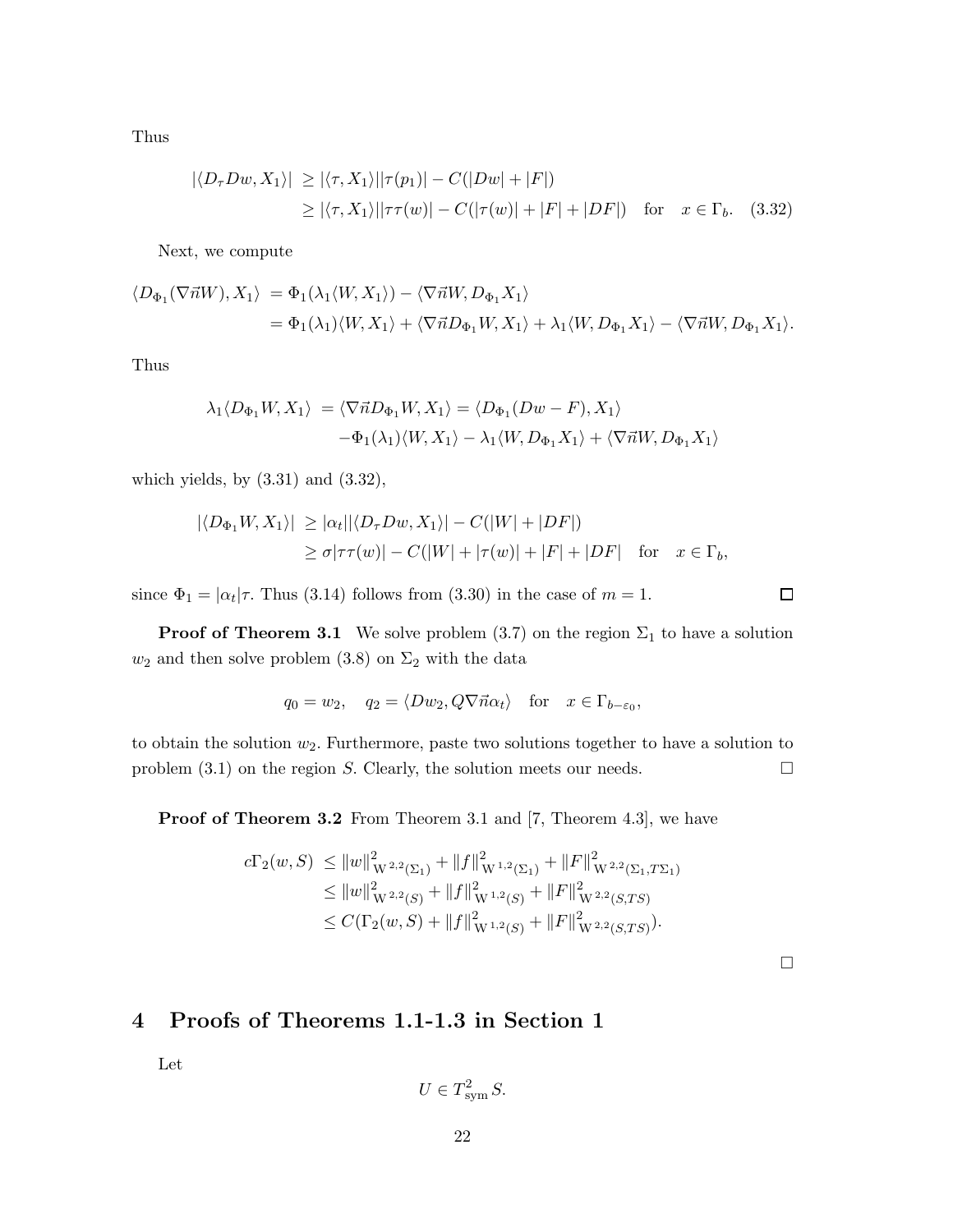Thus

$$
|\langle D_{\tau}Dw, X_1 \rangle| \ge |\langle \tau, X_1 \rangle| |\tau(p_1)| - C(|Dw| + |F|)
$$
  
 
$$
\ge |\langle \tau, X_1 \rangle| |\tau \tau(w)| - C(|\tau(w)| + |F| + |DF|) \text{ for } x \in \Gamma_b.
$$
 (3.32)

Next, we compute

$$
\langle D_{\Phi_1}(\nabla \vec{n}W), X_1 \rangle = \Phi_1(\lambda_1 \langle W, X_1 \rangle) - \langle \nabla \vec{n}W, D_{\Phi_1} X_1 \rangle
$$
  
= 
$$
\Phi_1(\lambda_1) \langle W, X_1 \rangle + \langle \nabla \vec{n} D_{\Phi_1} W, X_1 \rangle + \lambda_1 \langle W, D_{\Phi_1} X_1 \rangle - \langle \nabla \vec{n}W, D_{\Phi_1} X_1 \rangle.
$$

Thus

$$
\lambda_1 \langle D_{\Phi_1} W, X_1 \rangle = \langle \nabla \vec{n} D_{\Phi_1} W, X_1 \rangle = \langle D_{\Phi_1} (Dw - F), X_1 \rangle
$$

$$
-\Phi_1(\lambda_1) \langle W, X_1 \rangle - \lambda_1 \langle W, D_{\Phi_1} X_1 \rangle + \langle \nabla \vec{n} W, D_{\Phi_1} X_1 \rangle
$$

which yields, by  $(3.31)$  and  $(3.32)$ ,

$$
|\langle D_{\Phi_1} W, X_1 \rangle| \ge |\alpha_t| |\langle D_{\tau} Dw, X_1 \rangle| - C(|W| + |DF|)
$$
  
 
$$
\ge \sigma |\tau \tau(w)| - C(|W| + |\tau(w)| + |F| + |DF| \quad \text{for} \quad x \in \Gamma_b,
$$

since  $\Phi_1 = |\alpha_t|\tau$ . Thus (3.14) follows from (3.30) in the case of  $m = 1$ .

**Proof of Theorem 3.1** We solve problem (3.7) on the region  $\Sigma_1$  to have a solution  $w_2$  and then solve problem (3.8) on  $\Sigma_2$  with the data

$$
q_0 = w_2
$$
,  $q_2 = \langle Dw_2, Q\nabla \vec{n}\alpha_t \rangle$  for  $x \in \Gamma_{b-\epsilon_0}$ ,

to obtain the solution  $w_2$ . Furthermore, paste two solutions together to have a solution to problem  $(3.1)$  on the region S. Clearly, the solution meets our needs.  $\Box$ 

Proof of Theorem 3.2 From Theorem 3.1 and [7, Theorem 4.3], we have

$$
c\Gamma_2(w, S) \le ||w||_{\mathcal{W}^{2,2}(\Sigma_1)}^2 + ||f||_{\mathcal{W}^{1,2}(\Sigma_1)}^2 + ||F||_{\mathcal{W}^{2,2}(\Sigma_1, T\Sigma_1)}^2
$$
  
\n
$$
\le ||w||_{\mathcal{W}^{2,2}(S)}^2 + ||f||_{\mathcal{W}^{1,2}(S)}^2 + ||F||_{\mathcal{W}^{2,2}(S,TS)}^2
$$
  
\n
$$
\le C(\Gamma_2(w, S) + ||f||_{\mathcal{W}^{1,2}(S)}^2 + ||F||_{\mathcal{W}^{2,2}(S,TS)}^2).
$$

 $\Box$ 

 $\Box$ 

# 4 Proofs of Theorems 1.1-1.3 in Section 1

Let

$$
U \in T_{\text{sym}}^2 S.
$$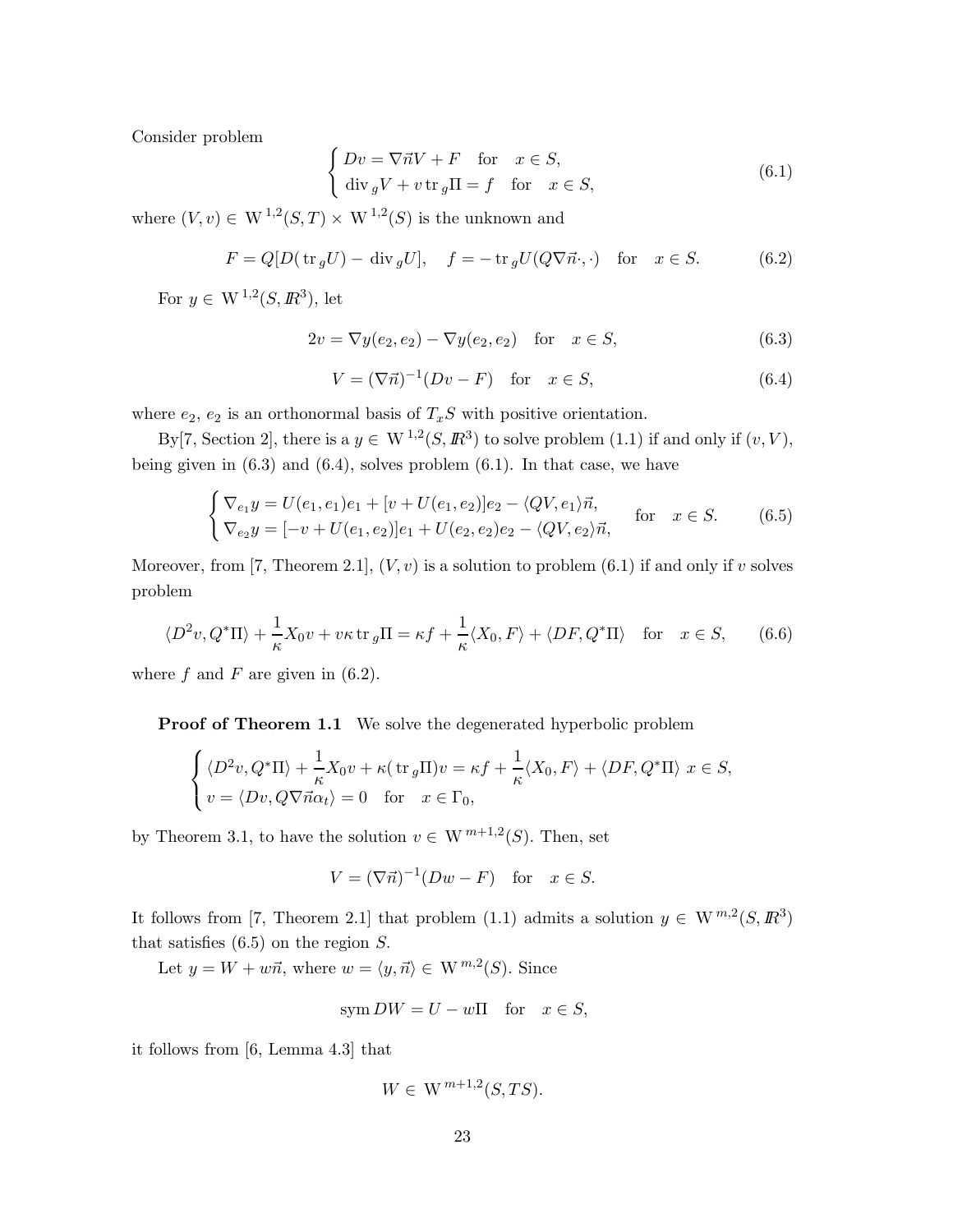Consider problem

$$
\begin{cases}\nDv = \nabla \vec{n}V + F & \text{for } x \in S, \\
\text{div}_g V + v \,\text{tr}_g \Pi = f & \text{for } x \in S,\n\end{cases}
$$
\n(6.1)

where  $(V, v) \in W^{1,2}(S, T) \times W^{1,2}(S)$  is the unknown and

$$
F = Q[D(\text{tr}_g U) - \text{div}_g U], \quad f = -\text{tr}_g U(Q\nabla \vec{n}\cdot, \cdot) \quad \text{for} \quad x \in S. \tag{6.2}
$$

For  $y \in W^{1,2}(S, \mathbb{R}^3)$ , let

$$
2v = \nabla y(e_2, e_2) - \nabla y(e_2, e_2) \quad \text{for} \quad x \in S,
$$
\n(6.3)

$$
V = (\nabla \vec{n})^{-1} (Dv - F) \quad \text{for} \quad x \in S,
$$
\n
$$
(6.4)
$$

where  $e_2$ ,  $e_2$  is an orthonormal basis of  $T_xS$  with positive orientation.

By [7, Section 2], there is a  $y \in W^{1,2}(S, \mathbb{R}^3)$  to solve problem (1.1) if and only if  $(v, V)$ , being given in  $(6.3)$  and  $(6.4)$ , solves problem  $(6.1)$ . In that case, we have

$$
\begin{cases}\n\nabla_{e_1} y = U(e_1, e_1)e_1 + [v + U(e_1, e_2)]e_2 - \langle QV, e_1 \rangle \vec{n}, \\
\nabla_{e_2} y = [-v + U(e_1, e_2)]e_1 + U(e_2, e_2)e_2 - \langle QV, e_2 \rangle \vec{n},\n\end{cases}
$$
 for  $x \in S$ . (6.5)

Moreover, from [7, Theorem 2.1],  $(V, v)$  is a solution to problem (6.1) if and only if v solves problem

$$
\langle D^2v, Q^*\Pi \rangle + \frac{1}{\kappa} X_0 v + v\kappa \operatorname{tr}_g \Pi = \kappa f + \frac{1}{\kappa} \langle X_0, F \rangle + \langle DF, Q^*\Pi \rangle \quad \text{for} \quad x \in S,\tag{6.6}
$$

where  $f$  and  $F$  are given in (6.2).

Proof of Theorem 1.1 We solve the degenerated hyperbolic problem

$$
\begin{cases} \langle D^2v, Q^*\Pi \rangle + \frac{1}{\kappa} X_0 v + \kappa (\operatorname{tr}_g \Pi)v = \kappa f + \frac{1}{\kappa} \langle X_0, F \rangle + \langle DF, Q^*\Pi \rangle \ x \in S, \\ v = \langle Dv, Q\nabla \vec{n}\alpha_t \rangle = 0 \quad \text{for} \quad x \in \Gamma_0, \end{cases}
$$

by Theorem 3.1, to have the solution  $v \in W^{m+1,2}(S)$ . Then, set

$$
V = (\nabla \vec{n})^{-1} (Dw - F) \quad \text{for} \quad x \in S.
$$

It follows from [7, Theorem 2.1] that problem (1.1) admits a solution  $y \in W^{m,2}(S, \mathbb{R}^3)$ that satisfies  $(6.5)$  on the region  $S$ .

Let  $y = W + w\vec{n}$ , where  $w = \langle y, \vec{n} \rangle \in W^{m,2}(S)$ . Since

$$
\text{sym } DW = U - w\Pi \quad \text{for} \quad x \in S,
$$

it follows from [6, Lemma 4.3] that

$$
W \in \mathcal{W}^{m+1,2}(S, TS).
$$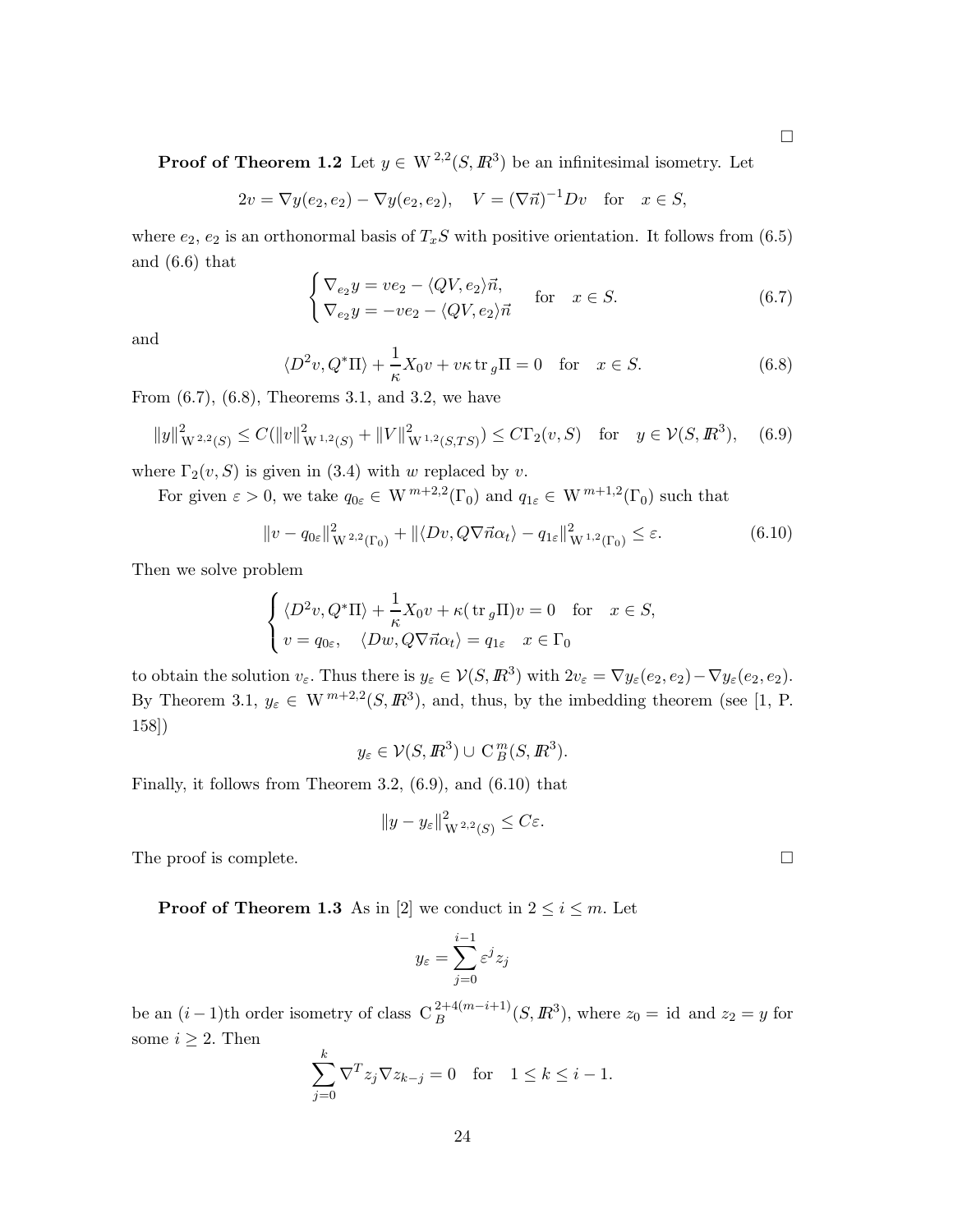$\Box$ 

**Proof of Theorem 1.2** Let  $y \in W^{2,2}(S, \mathbb{R}^{3})$  be an infinitesimal isometry. Let

$$
2v = \nabla y(e_2, e_2) - \nabla y(e_2, e_2), \quad V = (\nabla \vec{n})^{-1}Dv \quad \text{for} \quad x \in S,
$$

where  $e_2, e_2$  is an orthonormal basis of  $T_xS$  with positive orientation. It follows from (6.5) and (6.6) that

$$
\begin{cases}\n\nabla_{e_2} y = v e_2 - \langle QV, e_2 \rangle \vec{n}, \\
\nabla_{e_2} y = -v e_2 - \langle QV, e_2 \rangle \vec{n}\n\end{cases} \quad \text{for} \quad x \in S.
$$
\n(6.7)

and

$$
\langle D^2 v, Q^* \Pi \rangle + \frac{1}{\kappa} X_0 v + v \kappa \operatorname{tr}_g \Pi = 0 \quad \text{for} \quad x \in S. \tag{6.8}
$$

From (6.7), (6.8), Theorems 3.1, and 3.2, we have

$$
||y||_{W^{2,2}(S)}^2 \le C(||v||_{W^{1,2}(S)}^2 + ||V||_{W^{1,2}(S,TS)}^2) \le C\Gamma_2(v,S) \quad \text{for} \quad y \in \mathcal{V}(S, \mathbb{R}^3), \tag{6.9}
$$

where  $\Gamma_2(v, S)$  is given in (3.4) with w replaced by v.

For given  $\varepsilon > 0$ , we take  $q_{0\varepsilon} \in W^{m+2,2}(\Gamma_0)$  and  $q_{1\varepsilon} \in W^{m+1,2}(\Gamma_0)$  such that

$$
||v - q_{0\varepsilon}||_{W^{2,2}(\Gamma_0)}^2 + ||\langle Dv, Q\nabla \vec{n}\alpha_t \rangle - q_{1\varepsilon}||_{W^{1,2}(\Gamma_0)}^2 \le \varepsilon.
$$
 (6.10)

Then we solve problem

$$
\begin{cases} \langle D^2v, Q^*\Pi \rangle + \frac{1}{\kappa} X_0 v + \kappa (\operatorname{tr}_g \Pi)v = 0 & \text{for} \quad x \in S, \\ v = q_{0\varepsilon}, \quad \langle Dw, Q\nabla \vec{n}\alpha_t \rangle = q_{1\varepsilon} \quad x \in \Gamma_0 \end{cases}
$$

to obtain the solution  $v_{\varepsilon}$ . Thus there is  $y_{\varepsilon} \in \mathcal{V}(S, \mathbb{R}^3)$  with  $2v_{\varepsilon} = \nabla y_{\varepsilon}(e_2, e_2) - \nabla y_{\varepsilon}(e_2, e_2)$ . By Theorem 3.1,  $y_{\varepsilon} \in W^{m+2,2}(S,\mathbb{R}^3)$ , and, thus, by the imbedding theorem (see [1, P. 158])

$$
y_{\varepsilon} \in \mathcal{V}(S, \mathbb{R}^3) \cup \mathrm{C}^m_{B}(S, \mathbb{R}^3).
$$

Finally, it follows from Theorem 3.2, (6.9), and (6.10) that

$$
||y - y_{\varepsilon}||_{W^{2,2}(S)}^2 \leq C\varepsilon.
$$

The proof is complete.  $\Box$ 

**Proof of Theorem 1.3** As in [2] we conduct in  $2 \le i \le m$ . Let

$$
y_{\varepsilon} = \sum_{j=0}^{i-1} \varepsilon^j z_j
$$

be an  $(i-1)$ th order isometry of class  $C_B^{2+4(m-i+1)}(S, \mathbb{R}^3)$ , where  $z_0 = id$  and  $z_2 = y$  for some  $i \geq 2$ . Then

$$
\sum_{j=0}^{k} \nabla^{T} z_j \nabla z_{k-j} = 0 \quad \text{for} \quad 1 \le k \le i-1.
$$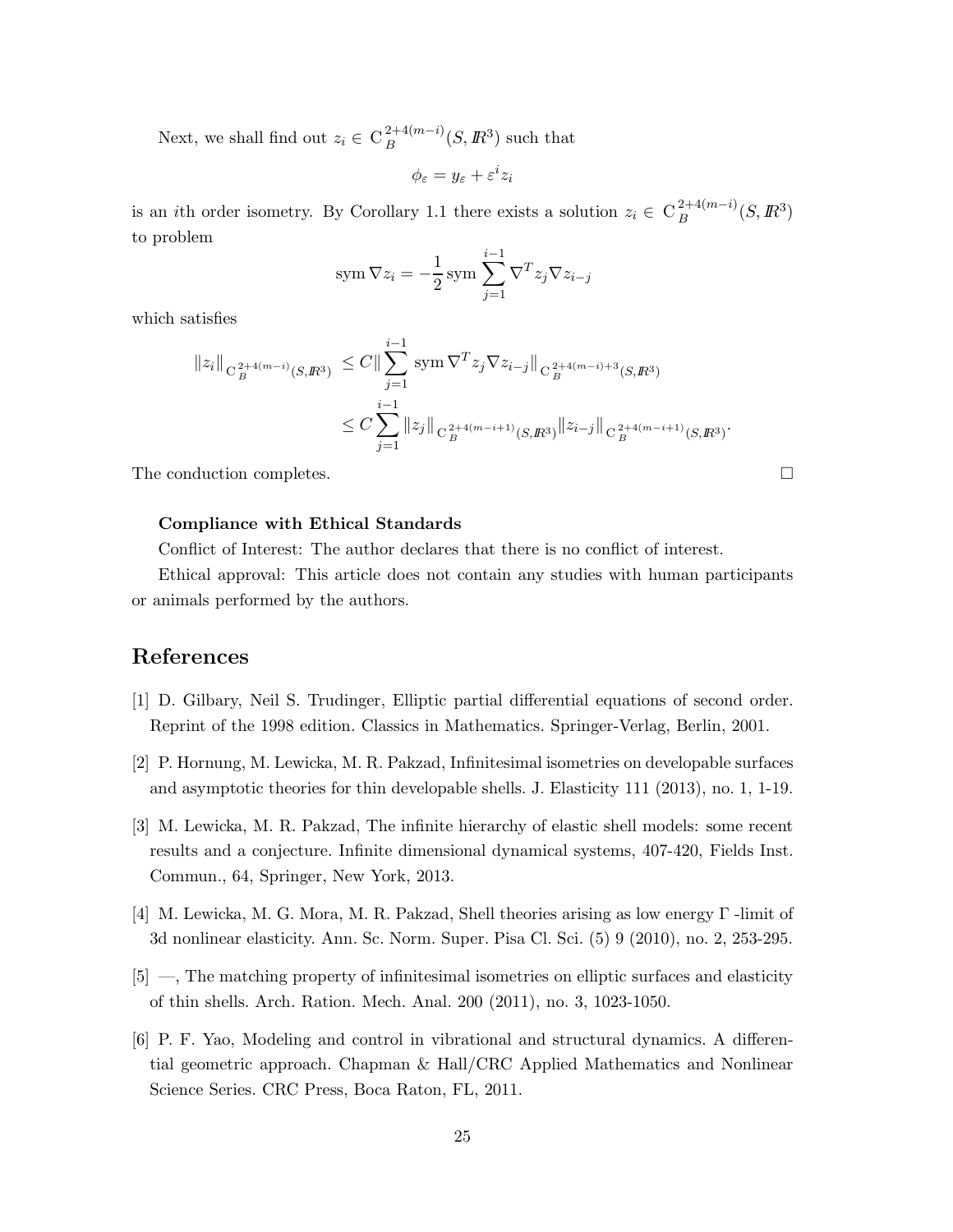Next, we shall find out  $z_i \in C_B^{2+4(m-i)}$  $B^{2+4(m-i)}(S, \mathbb{R}^3)$  such that

$$
\phi_{\varepsilon}=y_{\varepsilon}+\varepsilon^i z_i
$$

is an *i*th order isometry. By Corollary 1.1 there exists a solution  $z_i \in C_B^{2+4(m-i)}$  $B^{2+4(m-i)}(S, \mathbb{R}^3)$ to problem

$$
\text{sym}\,\nabla z_i = -\frac{1}{2}\,\text{sym}\,\sum_{j=1}^{i-1}\nabla^T z_j \nabla z_{i-j}
$$

which satisfies

$$
||z_{i}||_{C_{B}^{2+4(m-i)}(S,\mathbb{R}^{3})} \leq C ||\sum_{j=1}^{i-1} \operatorname{sym} \nabla^{T} z_{j} \nabla z_{i-j}||_{C_{B}^{2+4(m-i)+3}(S,\mathbb{R}^{3})}
$$
  

$$
\leq C \sum_{j=1}^{i-1} ||z_{j}||_{C_{B}^{2+4(m-i+1)}(S,\mathbb{R}^{3})} ||z_{i-j}||_{C_{B}^{2+4(m-i+1)}(S,\mathbb{R}^{3})}.
$$

The conduction completes.

### Compliance with Ethical Standards

Conflict of Interest: The author declares that there is no conflict of interest.

Ethical approval: This article does not contain any studies with human participants or animals performed by the authors.

# References

- [1] D. Gilbary, Neil S. Trudinger, Elliptic partial differential equations of second order. Reprint of the 1998 edition. Classics in Mathematics. Springer-Verlag, Berlin, 2001.
- [2] P. Hornung, M. Lewicka, M. R. Pakzad, Infinitesimal isometries on developable surfaces and asymptotic theories for thin developable shells. J. Elasticity 111 (2013), no. 1, 1-19.
- [3] M. Lewicka, M. R. Pakzad, The infinite hierarchy of elastic shell models: some recent results and a conjecture. Infinite dimensional dynamical systems, 407-420, Fields Inst. Commun., 64, Springer, New York, 2013.
- [4] M. Lewicka, M. G. Mora, M. R. Pakzad, Shell theories arising as low energy Γ -limit of 3d nonlinear elasticity. Ann. Sc. Norm. Super. Pisa Cl. Sci. (5) 9 (2010), no. 2, 253-295.
- [5] —, The matching property of infinitesimal isometries on elliptic surfaces and elasticity of thin shells. Arch. Ration. Mech. Anal. 200 (2011), no. 3, 1023-1050.
- [6] P. F. Yao, Modeling and control in vibrational and structural dynamics. A differential geometric approach. Chapman & Hall/CRC Applied Mathematics and Nonlinear Science Series. CRC Press, Boca Raton, FL, 2011.